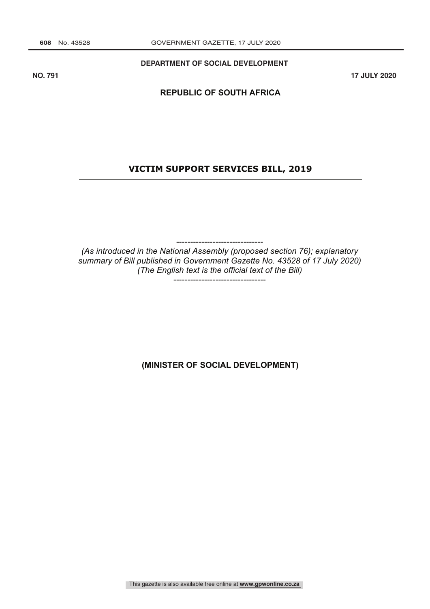**DEPARTMENT OF SOCIAL DEVELOPMENT**

**NO. 791 17 JULY 2020**

# **REPUBLIC OF SOUTH AFRICA**

### **VICTIM SUPPORT SERVICES BILL, 2019**

-------------------------------

*(As introduced in the National Assembly (proposed section 76); explanatory summary of Bill published in Government Gazette No. 43528 of 17 July 2020) (The English text is the official text of the Bill)*

---------------------------------

**(MINISTER OF SOCIAL DEVELOPMENT)**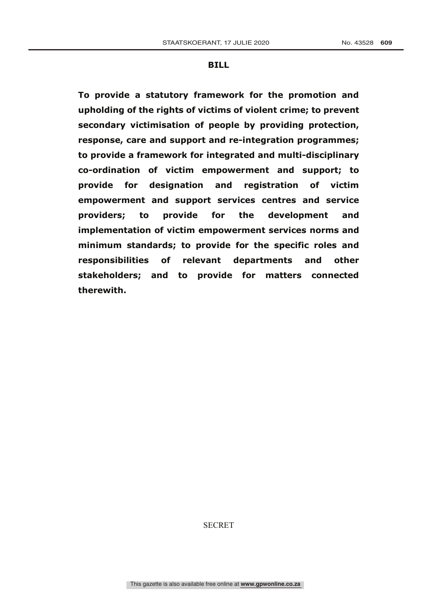#### **BILL**

**To provide a statutory framework for the promotion and upholding of the rights of victims of violent crime; to prevent secondary victimisation of people by providing protection, response, care and support and re-integration programmes; to provide a framework for integrated and multi-disciplinary co-ordination of victim empowerment and support; to provide for designation and registration of victim empowerment and support services centres and service providers; to provide for the development and implementation of victim empowerment services norms and minimum standards; to provide for the specific roles and responsibilities of relevant departments and other stakeholders; and to provide for matters connected therewith.**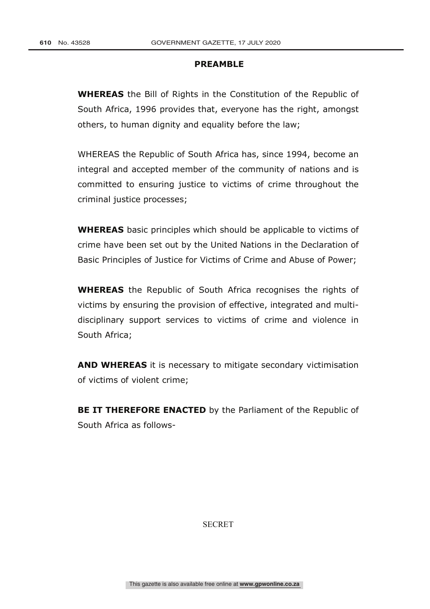### **PREAMBLE**

**WHEREAS** the Bill of Rights in the Constitution of the Republic of South Africa, 1996 provides that, everyone has the right, amongst others, to human dignity and equality before the law;

WHEREAS the Republic of South Africa has, since 1994, become an integral and accepted member of the community of nations and is committed to ensuring justice to victims of crime throughout the criminal justice processes;

**WHEREAS** basic principles which should be applicable to victims of crime have been set out by the United Nations in the Declaration of Basic Principles of Justice for Victims of Crime and Abuse of Power;

**WHEREAS** the Republic of South Africa recognises the rights of victims by ensuring the provision of effective, integrated and multidisciplinary support services to victims of crime and violence in South Africa;

**AND WHEREAS** it is necessary to mitigate secondary victimisation of victims of violent crime;

**BE IT THEREFORE ENACTED** by the Parliament of the Republic of South Africa as follows-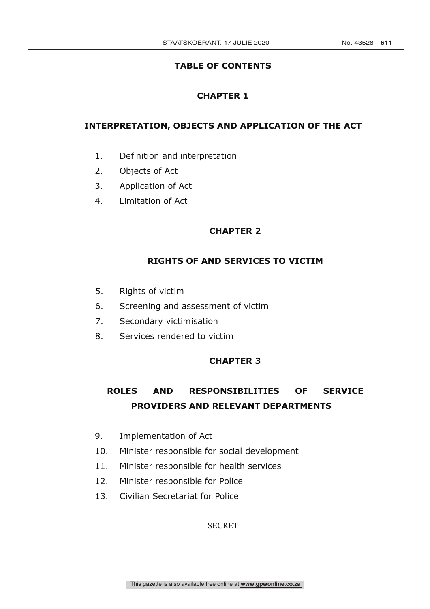# **TABLE OF CONTENTS**

# **CHAPTER 1**

# **INTERPRETATION, OBJECTS AND APPLICATION OF THE ACT**

- 1. Definition and interpretation
- 2. Objects of Act
- 3. Application of Act
- 4. Limitation of Act

# **CHAPTER 2**

# **RIGHTS OF AND SERVICES TO VICTIM**

- 5. Rights of victim
- 6. Screening and assessment of victim
- 7. Secondary victimisation
- 8. Services rendered to victim

# **CHAPTER 3**

# **ROLES AND RESPONSIBILITIES OF SERVICE PROVIDERS AND RELEVANT DEPARTMENTS**

- 9. Implementation of Act
- 10. Minister responsible for social development
- 11. Minister responsible for health services
- 12. Minister responsible for Police
- 13. Civilian Secretariat for Police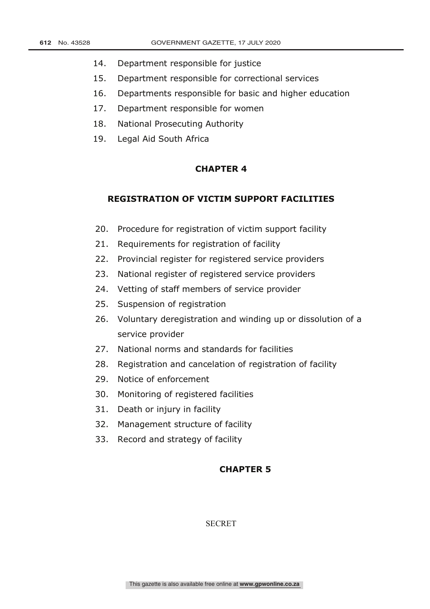- 14. Department responsible for justice
- 15. Department responsible for correctional services
- 16. Departments responsible for basic and higher education
- 17. Department responsible for women
- 18. National Prosecuting Authority
- 19. Legal Aid South Africa

### **CHAPTER 4**

# **REGISTRATION OF VICTIM SUPPORT FACILITIES**

- 20. Procedure for registration of victim support facility
- 21. Requirements for registration of facility
- 22. Provincial register for registered service providers
- 23. National register of registered service providers
- 24. Vetting of staff members of service provider
- 25. Suspension of registration
- 26. Voluntary deregistration and winding up or dissolution of a service provider
- 27. National norms and standards for facilities
- 28. Registration and cancelation of registration of facility
- 29. Notice of enforcement
- 30. Monitoring of registered facilities
- 31. Death or injury in facility
- 32. Management structure of facility
- 33. Record and strategy of facility

### **CHAPTER 5**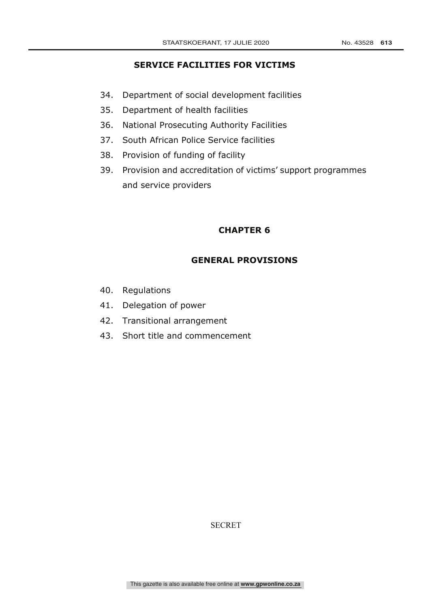# **SERVICE FACILITIES FOR VICTIMS**

- 34. Department of social development facilities
- 35. Department of health facilities
- 36. National Prosecuting Authority Facilities
- 37. South African Police Service facilities
- 38. Provision of funding of facility
- 39. Provision and accreditation of victims' support programmes and service providers

# **CHAPTER 6**

# **GENERAL PROVISIONS**

- 40. Regulations
- 41. Delegation of power
- 42. Transitional arrangement
- 43. Short title and commencement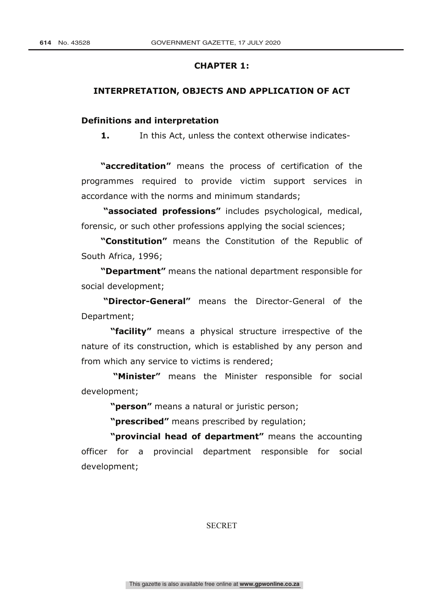## **CHAPTER 1:**

### **INTERPRETATION, OBJECTS AND APPLICATION OF ACT**

### **Definitions and interpretation**

**1.** In this Act, unless the context otherwise indicates-

**"accreditation"** means the process of certification of the programmes required to provide victim support services in accordance with the norms and minimum standards;

**"associated professions"** includes psychological, medical, forensic, or such other professions applying the social sciences;

**"Constitution"** means the Constitution of the Republic of South Africa, 1996;

**"Department"** means the national department responsible for social development;

**"Director-General"** means the Director-General of the Department;

**"facility"** means a physical structure irrespective of the nature of its construction, which is established by any person and from which any service to victims is rendered;

**"Minister"** means the Minister responsible for social development;

**"person"** means a natural or juristic person;

**"prescribed"** means prescribed by regulation;

**"provincial head of department"** means the accounting officer for a provincial department responsible for social development;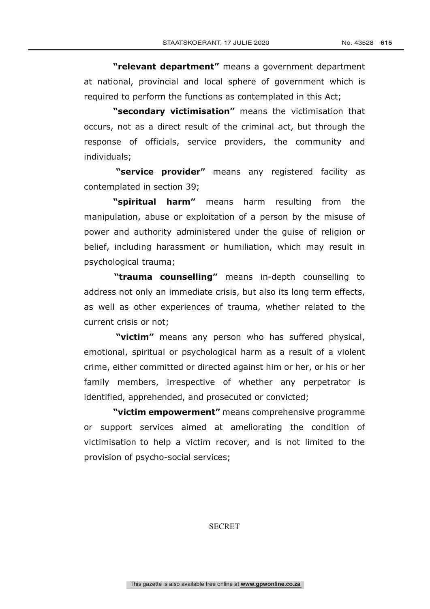**"relevant department"** means a government department at national, provincial and local sphere of government which is required to perform the functions as contemplated in this Act;

**"secondary victimisation"** means the victimisation that occurs, not as a direct result of the criminal act, but through the response of officials, service providers, the community and individuals;

**"service provider"** means any registered facility as contemplated in section 39;

**"spiritual harm"** means harm resulting from the manipulation, abuse or exploitation of a person by the misuse of power and authority administered under the guise of religion or belief, including harassment or humiliation, which may result in psychological trauma;

**"trauma counselling"** means in-depth counselling to address not only an immediate crisis, but also its long term effects, as well as other experiences of trauma, whether related to the current crisis or not;

**"victim"** means any person who has suffered physical, emotional, spiritual or psychological harm as a result of a violent crime, either committed or directed against him or her, or his or her family members, irrespective of whether any perpetrator is identified, apprehended, and prosecuted or convicted;

**"victim empowerment"** means comprehensive programme or support services aimed at ameliorating the condition of victimisation to help a victim recover, and is not limited to the provision of psycho-social services;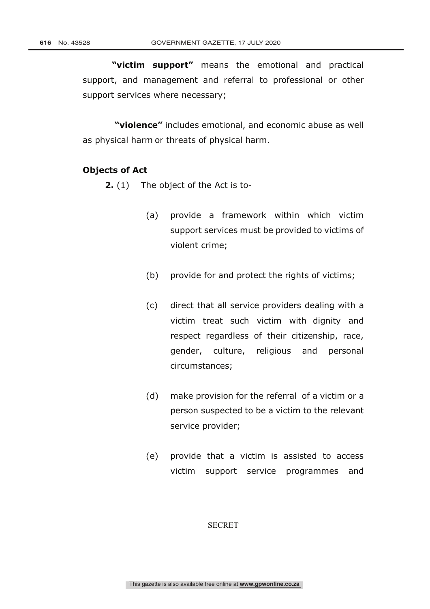**"victim support"** means the emotional and practical support, and management and referral to professional or other support services where necessary;

**"violence"** includes emotional, and economic abuse as well as physical harm or threats of physical harm.

## **Objects of Act**

- **2.** (1) The object of the Act is to-
	- (a) provide a framework within which victim support services must be provided to victims of violent crime;
	- (b) provide for and protect the rights of victims;
	- (c) direct that all service providers dealing with a victim treat such victim with dignity and respect regardless of their citizenship, race, gender, culture, religious and personal circumstances;
	- (d) make provision for the referral of a victim or a person suspected to be a victim to the relevant service provider;
	- (e) provide that a victim is assisted to access victim support service programmes and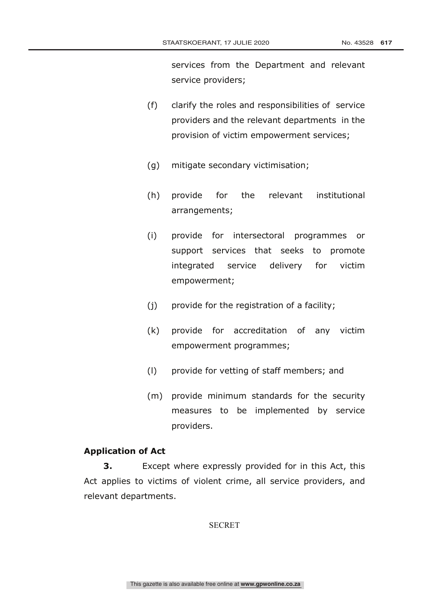services from the Department and relevant service providers;

- (f) clarify the roles and responsibilities of service providers and the relevant departments in the provision of victim empowerment services;
- (g) mitigate secondary victimisation;
- (h) provide for the relevant institutional arrangements;
- (i) provide for intersectoral programmes or support services that seeks to promote integrated service delivery for victim empowerment;
- (j) provide for the registration of a facility;
- (k) provide for accreditation of any victim empowerment programmes;
- (l) provide for vetting of staff members; and
- (m) provide minimum standards for the security measures to be implemented by service providers.

### **Application of Act**

**3.** Except where expressly provided for in this Act, this Act applies to victims of violent crime, all service providers, and relevant departments.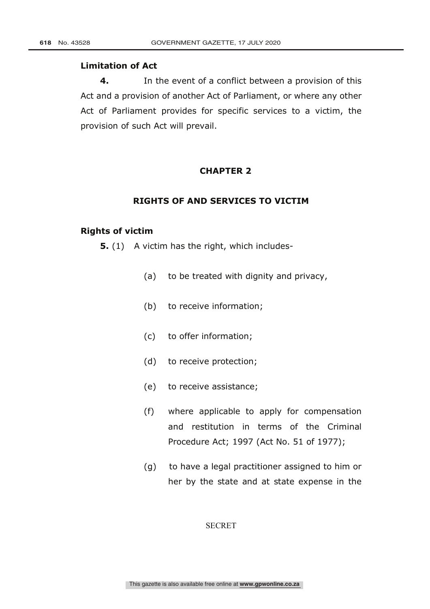### **Limitation of Act**

**4.** In the event of a conflict between a provision of this Act and a provision of another Act of Parliament, or where any other Act of Parliament provides for specific services to a victim, the provision of such Act will prevail.

# **CHAPTER 2**

## **RIGHTS OF AND SERVICES TO VICTIM**

#### **Rights of victim**

**5.** (1) A victim has the right, which includes-

- (a) to be treated with dignity and privacy,
- (b) to receive information;
- (c) to offer information;
- (d) to receive protection;
- (e) to receive assistance;
- (f) where applicable to apply for compensation and restitution in terms of the Criminal Procedure Act; 1997 (Act No. 51 of 1977);
- (g) to have a legal practitioner assigned to him or her by the state and at state expense in the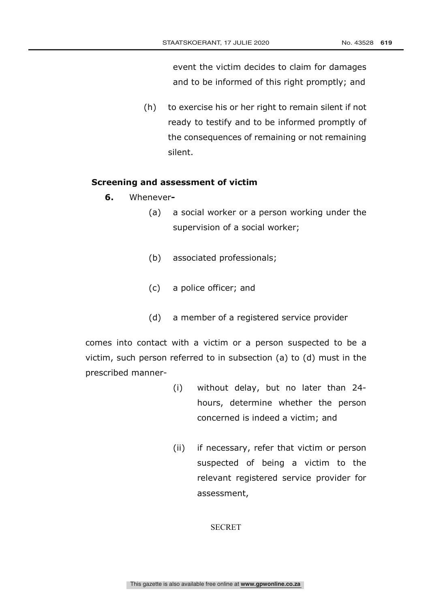event the victim decides to claim for damages and to be informed of this right promptly; and

(h) to exercise his or her right to remain silent if not ready to testify and to be informed promptly of the consequences of remaining or not remaining silent.

## **Screening and assessment of victim**

- **6.** Whenever**-**
	- (a) a social worker or a person working under the supervision of a social worker;
	- (b) associated professionals;
	- (c) a police officer; and
	- (d) a member of a registered service provider

comes into contact with a victim or a person suspected to be a victim, such person referred to in subsection (a) to (d) must in the prescribed manner-

- (i) without delay, but no later than 24 hours, determine whether the person concerned is indeed a victim; and
- (ii) if necessary, refer that victim or person suspected of being a victim to the relevant registered service provider for assessment,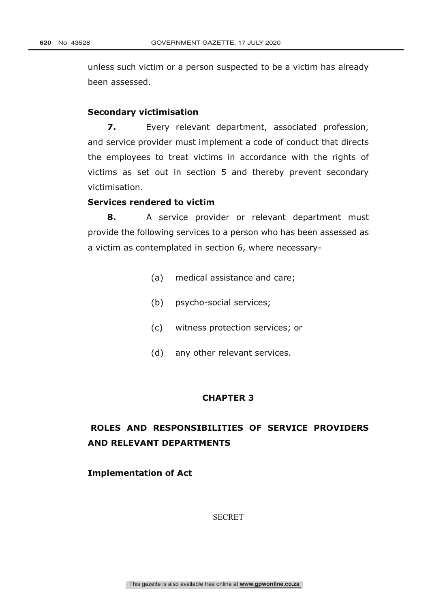unless such victim or a person suspected to be a victim has already been assessed.

#### **Secondary victimisation**

**7.** Every relevant department, associated profession, and service provider must implement a code of conduct that directs the employees to treat victims in accordance with the rights of victims as set out in section 5 and thereby prevent secondary victimisation.

# **Services rendered to victim**

**8.** A service provider or relevant department must provide the following services to a person who has been assessed as a victim as contemplated in section 6, where necessary-

- (a) medical assistance and care;
- (b) psycho-social services;
- (c) witness protection services; or
- (d) any other relevant services.

#### **CHAPTER 3**

# **ROLES AND RESPONSIBILITIES OF SERVICE PROVIDERS AND RELEVANT DEPARTMENTS**

**Implementation of Act**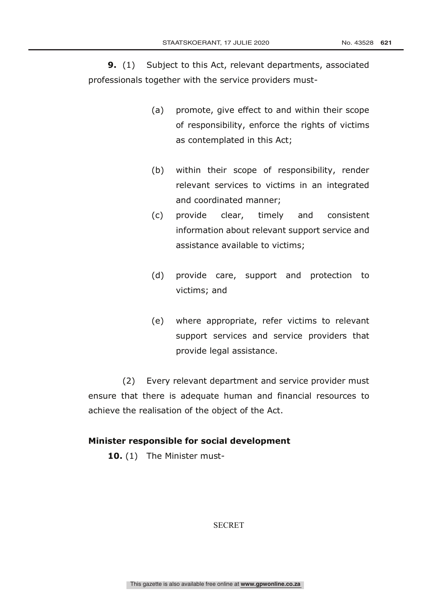**9.** (1) Subject to this Act, relevant departments, associated professionals together with the service providers must-

- (a) promote, give effect to and within their scope of responsibility, enforce the rights of victims as contemplated in this Act;
- (b) within their scope of responsibility, render relevant services to victims in an integrated and coordinated manner;
- (c) provide clear, timely and consistent information about relevant support service and assistance available to victims;
- (d) provide care, support and protection to victims; and
- (e) where appropriate, refer victims to relevant support services and service providers that provide legal assistance.

(2) Every relevant department and service provider must ensure that there is adequate human and financial resources to achieve the realisation of the object of the Act.

# **Minister responsible for social development**

**10.** (1) The Minister must-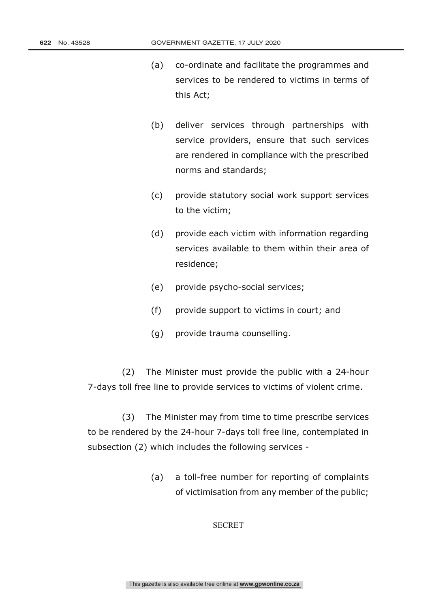- (a) co-ordinate and facilitate the programmes and services to be rendered to victims in terms of this Act;
- (b) deliver services through partnerships with service providers, ensure that such services are rendered in compliance with the prescribed norms and standards;
- (c) provide statutory social work support services to the victim;
- (d) provide each victim with information regarding services available to them within their area of residence;
- (e) provide psycho-social services;
- (f) provide support to victims in court; and
- (g) provide trauma counselling.

(2) The Minister must provide the public with a 24-hour 7-days toll free line to provide services to victims of violent crime.

(3) The Minister may from time to time prescribe services to be rendered by the 24-hour 7-days toll free line, contemplated in subsection (2) which includes the following services -

> (a) a toll-free number for reporting of complaints of victimisation from any member of the public;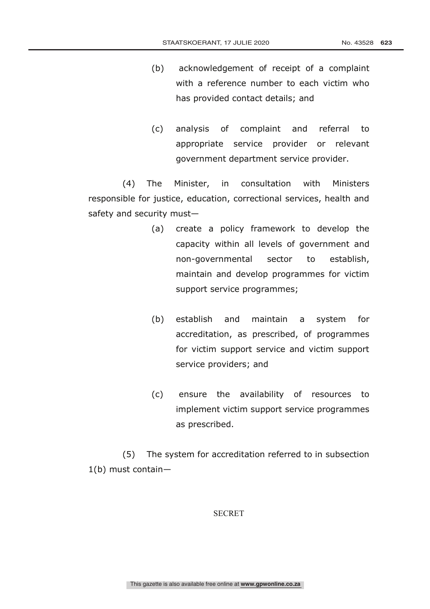- (b) acknowledgement of receipt of a complaint with a reference number to each victim who has provided contact details; and
- (c) analysis of complaint and referral to appropriate service provider or relevant government department service provider.

(4) The Minister, in consultation with Ministers responsible for justice, education, correctional services, health and safety and security must—

- (a) create a policy framework to develop the capacity within all levels of government and non-governmental sector to establish, maintain and develop programmes for victim support service programmes;
- (b) establish and maintain a system for accreditation, as prescribed, of programmes for victim support service and victim support service providers; and
- (c) ensure the availability of resources to implement victim support service programmes as prescribed.

(5) The system for accreditation referred to in subsection 1(b) must contain—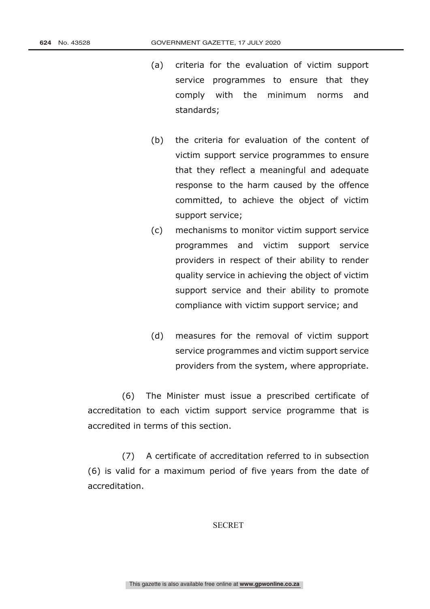- (a) criteria for the evaluation of victim support service programmes to ensure that they comply with the minimum norms and standards;
- (b) the criteria for evaluation of the content of victim support service programmes to ensure that they reflect a meaningful and adequate response to the harm caused by the offence committed, to achieve the object of victim support service;
- (c) mechanisms to monitor victim support service programmes and victim support service providers in respect of their ability to render quality service in achieving the object of victim support service and their ability to promote compliance with victim support service; and
- (d) measures for the removal of victim support service programmes and victim support service providers from the system, where appropriate.

(6) The Minister must issue a prescribed certificate of accreditation to each victim support service programme that is accredited in terms of this section.

(7) A certificate of accreditation referred to in subsection (6) is valid for a maximum period of five years from the date of accreditation.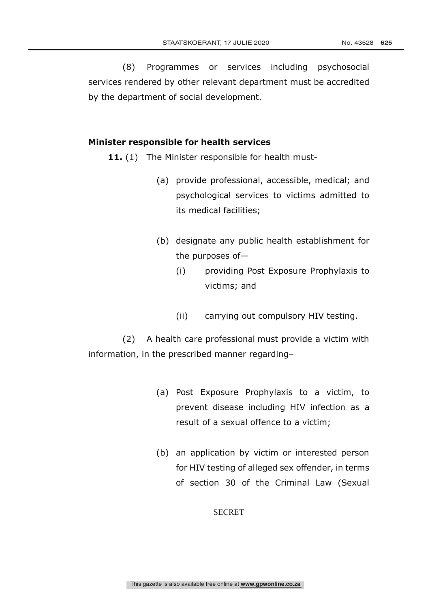(8) Programmes or services including psychosocial services rendered by other relevant department must be accredited by the department of social development.

#### **Minister responsible for health services**

11. (1) The Minister responsible for health must-

- (a) provide professional, accessible, medical; and psychological services to victims admitted to its medical facilities;
- (b) designate any public health establishment for the purposes of—
	- (i) providing Post Exposure Prophylaxis to victims; and
	- (ii) carrying out compulsory HIV testing.

(2) A health care professional must provide a victim with information, in the prescribed manner regarding–

- (a) Post Exposure Prophylaxis to a victim, to prevent disease including HIV infection as a result of a sexual offence to a victim;
- (b) an application by victim or interested person for HIV testing of alleged sex offender, in terms of section 30 of the Criminal Law (Sexual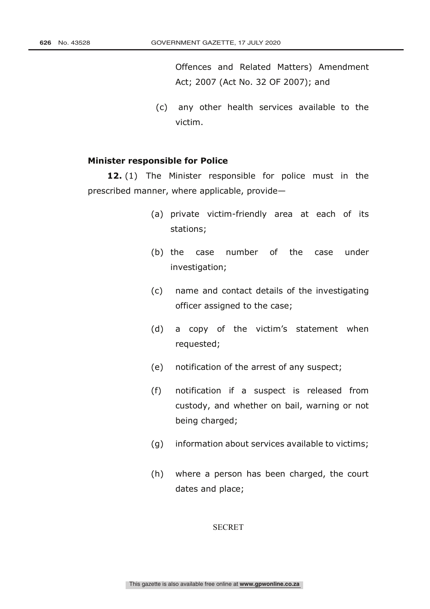Offences and Related Matters) Amendment Act; 2007 (Act No. 32 OF 2007); and

(c) any other health services available to the victim.

#### **Minister responsible for Police**

**12.** (1) The Minister responsible for police must in the prescribed manner, where applicable, provide—

- (a) private victim-friendly area at each of its stations;
- (b) the case number of the case under investigation;
- (c) name and contact details of the investigating officer assigned to the case;
- (d) a copy of the victim's statement when requested;
- (e) notification of the arrest of any suspect;
- (f) notification if a suspect is released from custody, and whether on bail, warning or not being charged;
- (g) information about services available to victims;
- (h) where a person has been charged, the court dates and place;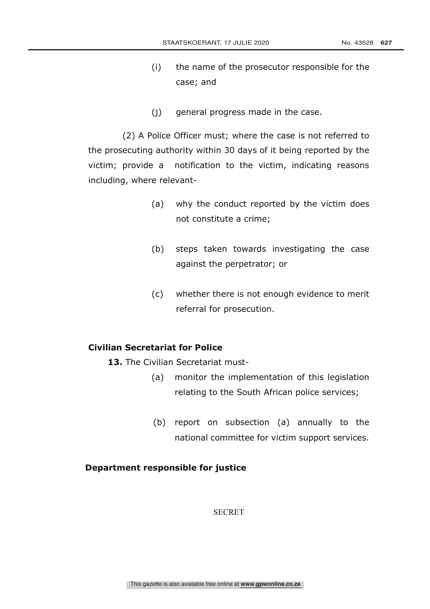- (i) the name of the prosecutor responsible for the case; and
- (j) general progress made in the case.

(2) A Police Officer must; where the case is not referred to the prosecuting authority within 30 days of it being reported by the victim; provide a notification to the victim, indicating reasons including, where relevant-

- (a) why the conduct reported by the victim does not constitute a crime;
- (b) steps taken towards investigating the case against the perpetrator; or
- (c) whether there is not enough evidence to merit referral for prosecution.

# **Civilian Secretariat for Police**

- **13.** The Civilian Secretariat must-
	- (a) monitor the implementation of this legislation relating to the South African police services;
	- (b) report on subsection (a) annually to the national committee for victim support services.

# **Department responsible for justice**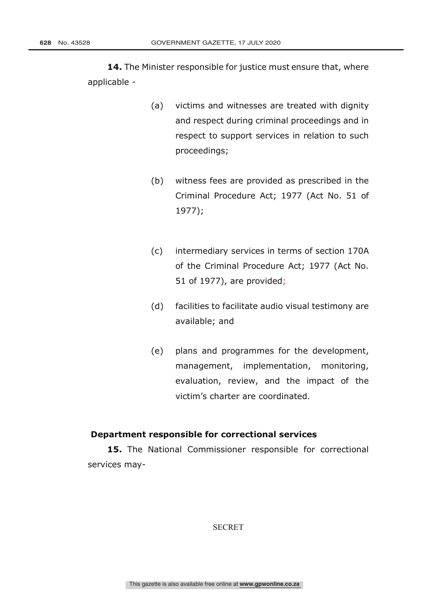**14.** The Minister responsible for justice must ensure that, where applicable -

- (a) victims and witnesses are treated with dignity and respect during criminal proceedings and in respect to support services in relation to such proceedings;
- (b) witness fees are provided as prescribed in the Criminal Procedure Act; 1977 (Act No. 51 of 1977);
- (c) intermediary services in terms of section 170A of the Criminal Procedure Act; 1977 (Act No. 51 of 1977), are provided;
- (d) facilities to facilitate audio visual testimony are available; and
- (e) plans and programmes for the development, management, implementation, monitoring, evaluation, review, and the impact of the victim's charter are coordinated.

### **Department responsible for correctional services**

**15.** The National Commissioner responsible for correctional services may-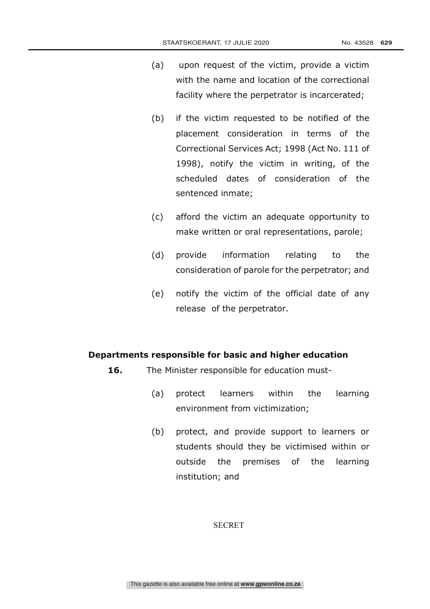- (a) upon request of the victim, provide a victim with the name and location of the correctional facility where the perpetrator is incarcerated;
- (b) if the victim requested to be notified of the placement consideration in terms of the Correctional Services Act; 1998 (Act No. 111 of 1998), notify the victim in writing, of the scheduled dates of consideration of the sentenced inmate;
- (c) afford the victim an adequate opportunity to make written or oral representations, parole;
- (d) provide information relating to the consideration of parole for the perpetrator; and
- (e) notify the victim of the official date of any release of the perpetrator.

## **Departments responsible for basic and higher education**

- 16. The Minister responsible for education must-
	- (a) protect learners within the learning environment from victimization;
	- (b) protect, and provide support to learners or students should they be victimised within or outside the premises of the learning institution; and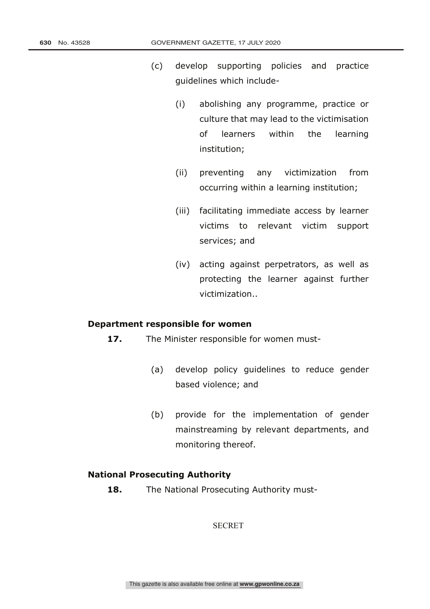- (c) develop supporting policies and practice guidelines which include-
	- (i) abolishing any programme, practice or culture that may lead to the victimisation of learners within the learning institution;
	- (ii) preventing any victimization from occurring within a learning institution;
	- (iii) facilitating immediate access by learner victims to relevant victim support services; and
	- (iv) acting against perpetrators, as well as protecting the learner against further victimization..

### **Department responsible for women**

- **17.** The Minister responsible for women must-
	- (a) develop policy guidelines to reduce gender based violence; and
	- (b) provide for the implementation of gender mainstreaming by relevant departments, and monitoring thereof.

### **National Prosecuting Authority**

18. The National Prosecuting Authority must-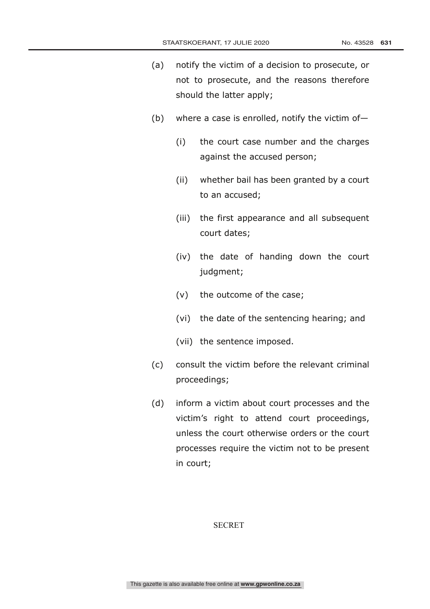- (a) notify the victim of a decision to prosecute, or not to prosecute, and the reasons therefore should the latter apply;
- (b) where a case is enrolled, notify the victim of-
	- (i) the court case number and the charges against the accused person;
	- (ii) whether bail has been granted by a court to an accused;
	- (iii) the first appearance and all subsequent court dates;
	- (iv) the date of handing down the court judgment;
	- (v) the outcome of the case;
	- (vi) the date of the sentencing hearing; and
	- (vii) the sentence imposed.
- (c) consult the victim before the relevant criminal proceedings;
- (d) inform a victim about court processes and the victim's right to attend court proceedings, unless the court otherwise orders or the court processes require the victim not to be present in court;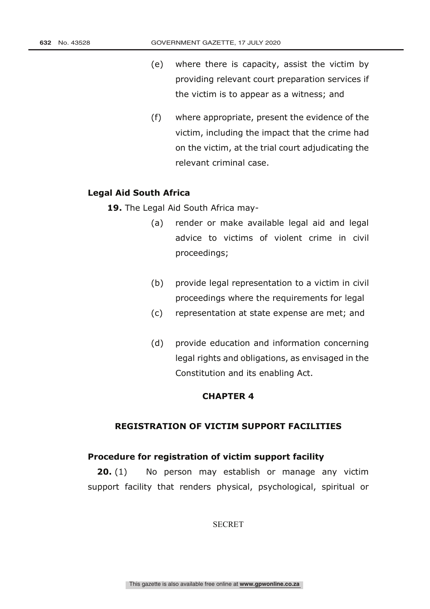- (e) where there is capacity, assist the victim by providing relevant court preparation services if the victim is to appear as a witness; and
- (f) where appropriate, present the evidence of the victim, including the impact that the crime had on the victim, at the trial court adjudicating the relevant criminal case.

### **Legal Aid South Africa**

**19.** The Legal Aid South Africa may-

- (a) render or make available legal aid and legal advice to victims of violent crime in civil proceedings;
- (b) provide legal representation to a victim in civil proceedings where the requirements for legal
- (c) representation at state expense are met; and
- (d) provide education and information concerning legal rights and obligations, as envisaged in the Constitution and its enabling Act.

# **CHAPTER 4**

# **REGISTRATION OF VICTIM SUPPORT FACILITIES**

## **Procedure for registration of victim support facility**

**20.** (1) No person may establish or manage any victim support facility that renders physical, psychological, spiritual or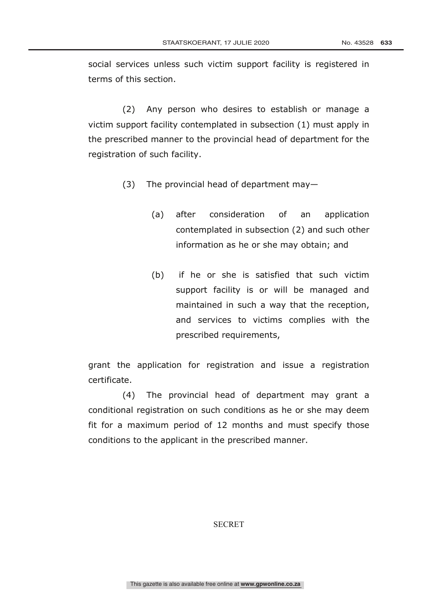social services unless such victim support facility is registered in terms of this section.

(2) Any person who desires to establish or manage a victim support facility contemplated in subsection (1) must apply in the prescribed manner to the provincial head of department for the registration of such facility.

- (3) The provincial head of department may—
	- (a) after consideration of an application contemplated in subsection (2) and such other information as he or she may obtain; and
	- (b) if he or she is satisfied that such victim support facility is or will be managed and maintained in such a way that the reception, and services to victims complies with the prescribed requirements,

grant the application for registration and issue a registration certificate.

(4) The provincial head of department may grant a conditional registration on such conditions as he or she may deem fit for a maximum period of 12 months and must specify those conditions to the applicant in the prescribed manner.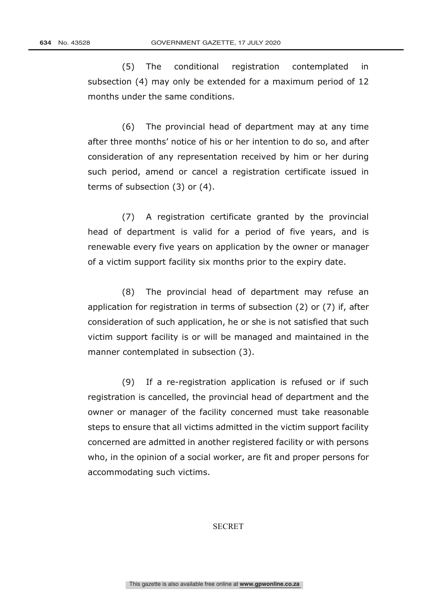(5) The conditional registration contemplated in subsection (4) may only be extended for a maximum period of 12 months under the same conditions.

(6) The provincial head of department may at any time after three months' notice of his or her intention to do so, and after consideration of any representation received by him or her during such period, amend or cancel a registration certificate issued in terms of subsection (3) or (4).

(7) A registration certificate granted by the provincial head of department is valid for a period of five years, and is renewable every five years on application by the owner or manager of a victim support facility six months prior to the expiry date.

(8) The provincial head of department may refuse an application for registration in terms of subsection (2) or (7) if, after consideration of such application, he or she is not satisfied that such victim support facility is or will be managed and maintained in the manner contemplated in subsection (3).

(9) If a re-registration application is refused or if such registration is cancelled, the provincial head of department and the owner or manager of the facility concerned must take reasonable steps to ensure that all victims admitted in the victim support facility concerned are admitted in another registered facility or with persons who, in the opinion of a social worker, are fit and proper persons for accommodating such victims.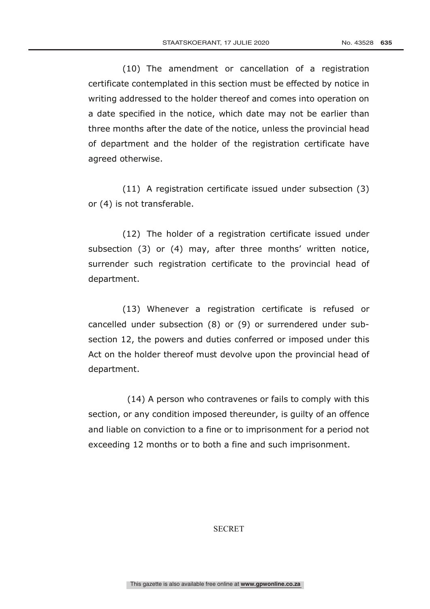(10) The amendment or cancellation of a registration certificate contemplated in this section must be effected by notice in writing addressed to the holder thereof and comes into operation on a date specified in the notice, which date may not be earlier than three months after the date of the notice, unless the provincial head of department and the holder of the registration certificate have agreed otherwise.

(11) A registration certificate issued under subsection (3) or (4) is not transferable.

(12) The holder of a registration certificate issued under subsection (3) or (4) may, after three months' written notice, surrender such registration certificate to the provincial head of department.

(13) Whenever a registration certificate is refused or cancelled under subsection (8) or (9) or surrendered under subsection 12, the powers and duties conferred or imposed under this Act on the holder thereof must devolve upon the provincial head of department.

(14) A person who contravenes or fails to comply with this section, or any condition imposed thereunder, is guilty of an offence and liable on conviction to a fine or to imprisonment for a period not exceeding 12 months or to both a fine and such imprisonment.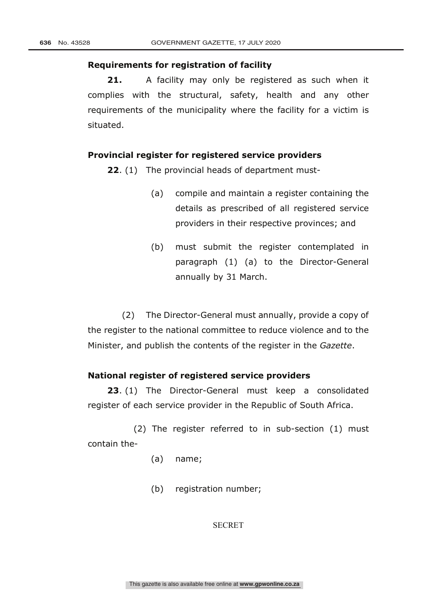### **Requirements for registration of facility**

**21.** A facility may only be registered as such when it complies with the structural, safety, health and any other requirements of the municipality where the facility for a victim is situated.

## **Provincial register for registered service providers**

**22**. (1) The provincial heads of department must-

- (a) compile and maintain a register containing the details as prescribed of all registered service providers in their respective provinces; and
- (b) must submit the register contemplated in paragraph (1) (a) to the Director-General annually by 31 March.

(2) The Director-General must annually, provide a copy of the register to the national committee to reduce violence and to the Minister, and publish the contents of the register in the *Gazette*.

### **National register of registered service providers**

**23**. (1) The Director-General must keep a consolidated register of each service provider in the Republic of South Africa.

 (2) The register referred to in sub-section (1) must contain the-

- (a) name;
- (b) registration number;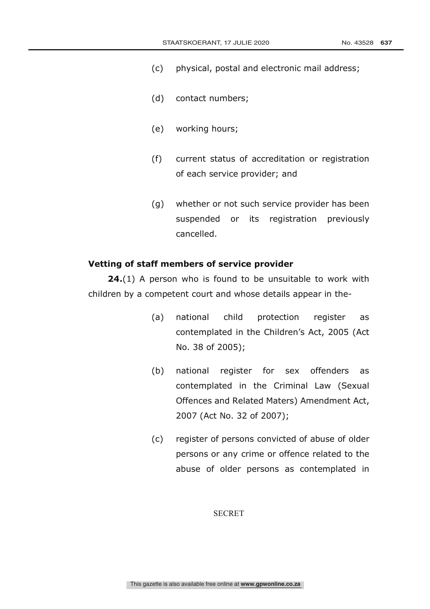- (c) physical, postal and electronic mail address;
- (d) contact numbers;
- (e) working hours;
- (f) current status of accreditation or registration of each service provider; and
- (g) whether or not such service provider has been suspended or its registration previously cancelled.

### **Vetting of staff members of service provider**

**24.**(1) A person who is found to be unsuitable to work with children by a competent court and whose details appear in the-

- (a) national child protection register as contemplated in the Children's Act, 2005 (Act No. 38 of 2005);
- (b) national register for sex offenders as contemplated in the Criminal Law (Sexual Offences and Related Maters) Amendment Act, 2007 (Act No. 32 of 2007);
- (c) register of persons convicted of abuse of older persons or any crime or offence related to the abuse of older persons as contemplated in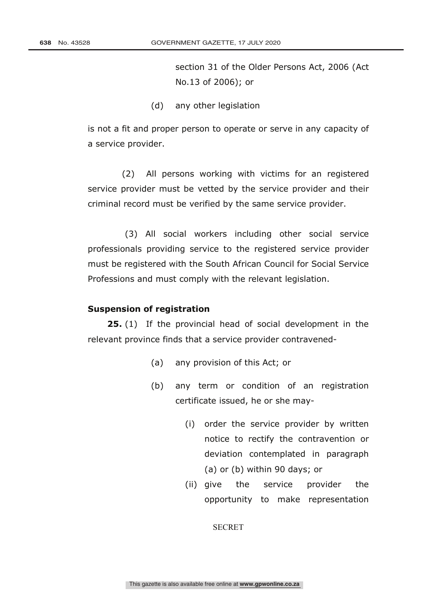section 31 of the Older Persons Act, 2006 (Act No.13 of 2006); or

(d) any other legislation

is not a fit and proper person to operate or serve in any capacity of a service provider.

(2) All persons working with victims for an registered service provider must be vetted by the service provider and their criminal record must be verified by the same service provider.

(3) All social workers including other social service professionals providing service to the registered service provider must be registered with the South African Council for Social Service Professions and must comply with the relevant legislation.

### **Suspension of registration**

**25.** (1) If the provincial head of social development in the relevant province finds that a service provider contravened-

- (a) any provision of this Act; or
- (b) any term or condition of an registration certificate issued, he or she may-
	- (i) order the service provider by written notice to rectify the contravention or deviation contemplated in paragraph (a) or (b) within 90 days; or
	- (ii) give the service provider the opportunity to make representation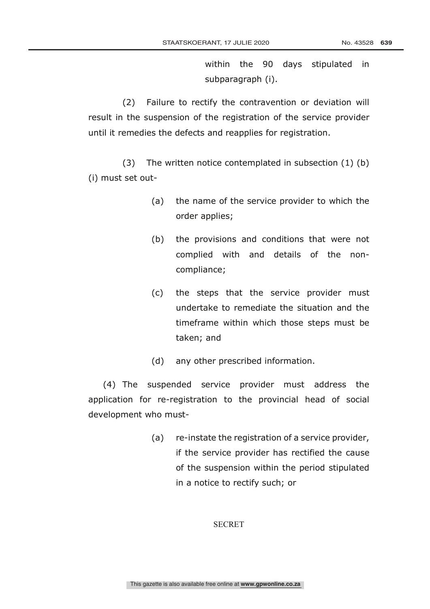within the 90 days stipulated in subparagraph (i).

(2) Failure to rectify the contravention or deviation will result in the suspension of the registration of the service provider until it remedies the defects and reapplies for registration.

(3) The written notice contemplated in subsection (1) (b) (i) must set out-

- (a) the name of the service provider to which the order applies;
- (b) the provisions and conditions that were not complied with and details of the noncompliance;
- (c) the steps that the service provider must undertake to remediate the situation and the timeframe within which those steps must be taken; and
- (d) any other prescribed information.

(4) The suspended service provider must address the application for re-registration to the provincial head of social development who must-

> (a) re-instate the registration of a service provider, if the service provider has rectified the cause of the suspension within the period stipulated in a notice to rectify such; or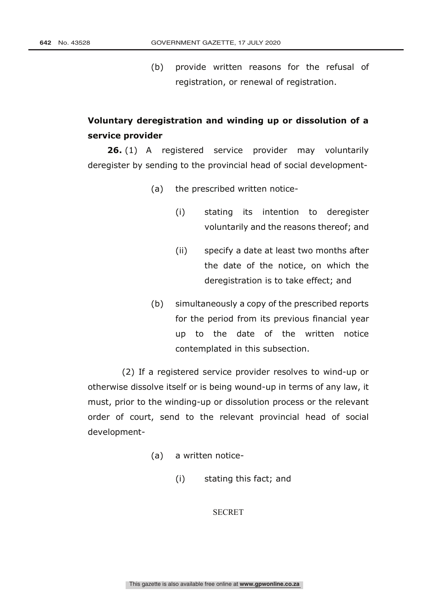(b) provide written reasons for the refusal of registration, or renewal of registration.

# **Voluntary deregistration and winding up or dissolution of a service provider**

**26.** (1) A registered service provider may voluntarily deregister by sending to the provincial head of social development-

(a) the prescribed written notice-

- (i) stating its intention to deregister voluntarily and the reasons thereof; and
- (ii) specify a date at least two months after the date of the notice, on which the deregistration is to take effect; and
- (b) simultaneously a copy of the prescribed reports for the period from its previous financial year up to the date of the written notice contemplated in this subsection.

(2) If a registered service provider resolves to wind-up or otherwise dissolve itself or is being wound-up in terms of any law, it must, prior to the winding-up or dissolution process or the relevant order of court, send to the relevant provincial head of social development-

- (a) a written notice-
	- (i) stating this fact; and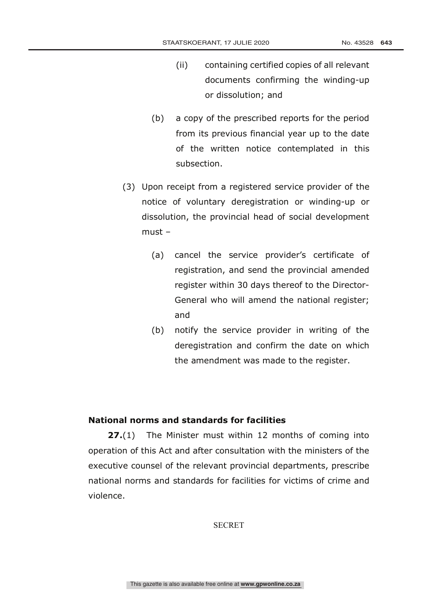- (ii) containing certified copies of all relevant documents confirming the winding-up or dissolution; and
- (b) a copy of the prescribed reports for the period from its previous financial year up to the date of the written notice contemplated in this subsection.
- (3) Upon receipt from a registered service provider of the notice of voluntary deregistration or winding-up or dissolution, the provincial head of social development must –
	- (a) cancel the service provider's certificate of registration, and send the provincial amended register within 30 days thereof to the Director-General who will amend the national register; and
	- (b) notify the service provider in writing of the deregistration and confirm the date on which the amendment was made to the register.

### **National norms and standards for facilities**

**27.**(1) The Minister must within 12 months of coming into operation of this Act and after consultation with the ministers of the executive counsel of the relevant provincial departments, prescribe national norms and standards for facilities for victims of crime and violence.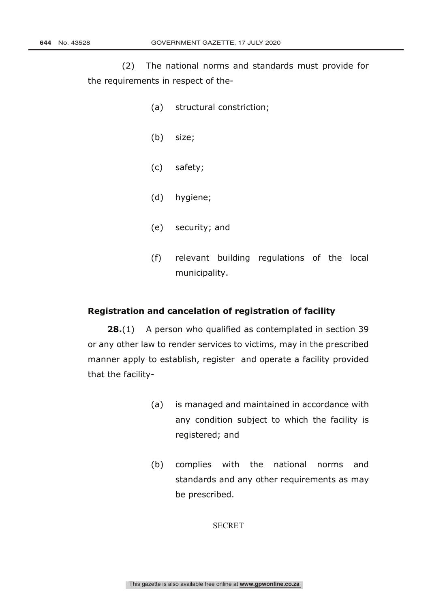(2) The national norms and standards must provide for the requirements in respect of the-

- (a) structural constriction;
- (b) size;
- (c) safety;
- (d) hygiene;
- (e) security; and
- (f) relevant building regulations of the local municipality.

### **Registration and cancelation of registration of facility**

**28.**(1) A person who qualified as contemplated in section 39 or any other law to render services to victims, may in the prescribed manner apply to establish, register and operate a facility provided that the facility-

- (a) is managed and maintained in accordance with any condition subject to which the facility is registered; and
- (b) complies with the national norms and standards and any other requirements as may be prescribed.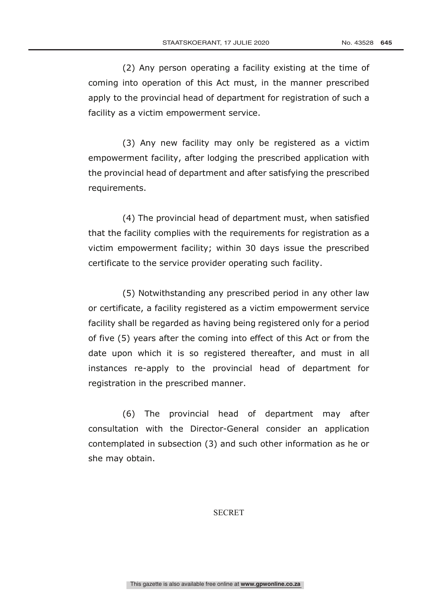(2) Any person operating a facility existing at the time of coming into operation of this Act must, in the manner prescribed apply to the provincial head of department for registration of such a facility as a victim empowerment service.

(3) Any new facility may only be registered as a victim empowerment facility, after lodging the prescribed application with the provincial head of department and after satisfying the prescribed requirements.

(4) The provincial head of department must, when satisfied that the facility complies with the requirements for registration as a victim empowerment facility; within 30 days issue the prescribed certificate to the service provider operating such facility.

(5) Notwithstanding any prescribed period in any other law or certificate, a facility registered as a victim empowerment service facility shall be regarded as having being registered only for a period of five (5) years after the coming into effect of this Act or from the date upon which it is so registered thereafter, and must in all instances re-apply to the provincial head of department for registration in the prescribed manner.

(6) The provincial head of department may after consultation with the Director-General consider an application contemplated in subsection (3) and such other information as he or she may obtain.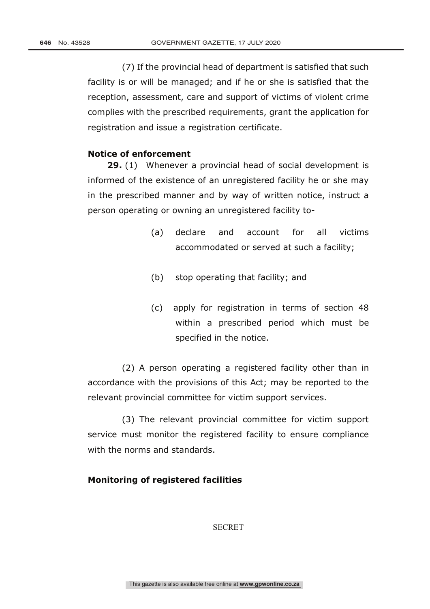(7) If the provincial head of department is satisfied that such facility is or will be managed; and if he or she is satisfied that the reception, assessment, care and support of victims of violent crime complies with the prescribed requirements, grant the application for registration and issue a registration certificate.

### **Notice of enforcement**

**29.** (1) Whenever a provincial head of social development is informed of the existence of an unregistered facility he or she may in the prescribed manner and by way of written notice, instruct a person operating or owning an unregistered facility to-

- (a) declare and account for all victims accommodated or served at such a facility;
- (b) stop operating that facility; and
- (c) apply for registration in terms of section 48 within a prescribed period which must be specified in the notice.

(2) A person operating a registered facility other than in accordance with the provisions of this Act; may be reported to the relevant provincial committee for victim support services.

(3) The relevant provincial committee for victim support service must monitor the registered facility to ensure compliance with the norms and standards.

# **Monitoring of registered facilities**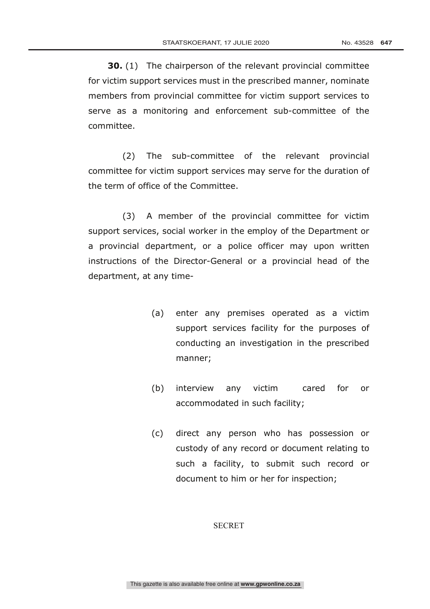**30.** (1) The chairperson of the relevant provincial committee for victim support services must in the prescribed manner, nominate members from provincial committee for victim support services to serve as a monitoring and enforcement sub-committee of the committee.

(2) The sub-committee of the relevant provincial committee for victim support services may serve for the duration of the term of office of the Committee.

(3) A member of the provincial committee for victim support services, social worker in the employ of the Department or a provincial department, or a police officer may upon written instructions of the Director-General or a provincial head of the department, at any time-

- (a) enter any premises operated as a victim support services facility for the purposes of conducting an investigation in the prescribed manner;
- (b) interview any victim cared for or accommodated in such facility;
- (c) direct any person who has possession or custody of any record or document relating to such a facility, to submit such record or document to him or her for inspection;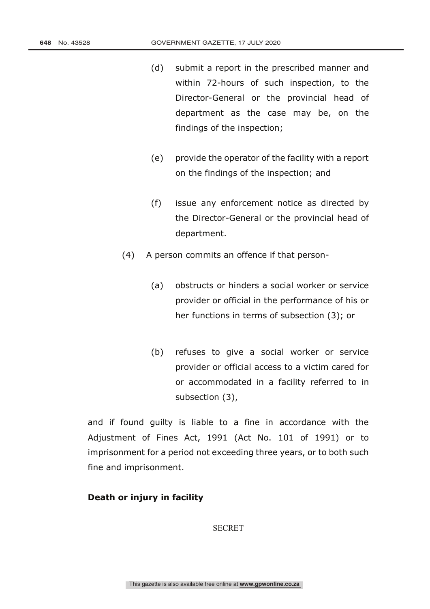- (d) submit a report in the prescribed manner and within 72-hours of such inspection, to the Director-General or the provincial head of department as the case may be, on the findings of the inspection;
- (e) provide the operator of the facility with a report on the findings of the inspection; and
- (f) issue any enforcement notice as directed by the Director-General or the provincial head of department.
- (4) A person commits an offence if that person-
	- (a) obstructs or hinders a social worker or service provider or official in the performance of his or her functions in terms of subsection (3); or
	- (b) refuses to give a social worker or service provider or official access to a victim cared for or accommodated in a facility referred to in subsection (3),

and if found guilty is liable to a fine in accordance with the Adjustment of Fines Act, 1991 (Act No. 101 of 1991) or to imprisonment for a period not exceeding three years, or to both such fine and imprisonment.

# **Death or injury in facility**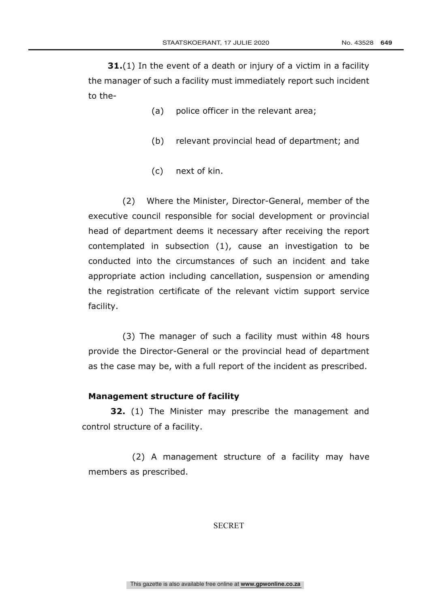**31.**(1) In the event of a death or injury of a victim in a facility the manager of such a facility must immediately report such incident to the-

- (a) police officer in the relevant area;
- (b) relevant provincial head of department; and
- (c) next of kin.

(2) Where the Minister, Director-General, member of the executive council responsible for social development or provincial head of department deems it necessary after receiving the report contemplated in subsection (1), cause an investigation to be conducted into the circumstances of such an incident and take appropriate action including cancellation, suspension or amending the registration certificate of the relevant victim support service facility.

(3) The manager of such a facility must within 48 hours provide the Director-General or the provincial head of department as the case may be, with a full report of the incident as prescribed.

## **Management structure of facility**

**32.** (1) The Minister may prescribe the management and control structure of a facility.

(2) A management structure of a facility may have members as prescribed.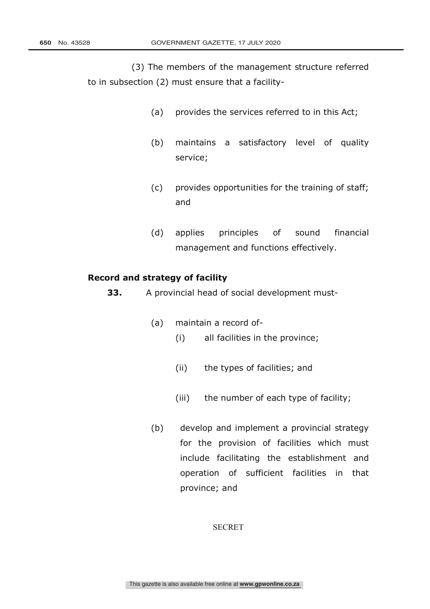(3) The members of the management structure referred to in subsection (2) must ensure that a facility-

- (a) provides the services referred to in this Act;
- (b) maintains a satisfactory level of quality service;
- (c) provides opportunities for the training of staff; and
- (d) applies principles of sound financial management and functions effectively.

# **Record and strategy of facility**

**33.** A provincial head of social development must-

- (a) maintain a record of-
	- (i) all facilities in the province;
	- (ii) the types of facilities; and
	- (iii) the number of each type of facility;
- (b) develop and implement a provincial strategy for the provision of facilities which must include facilitating the establishment and operation of sufficient facilities in that province; and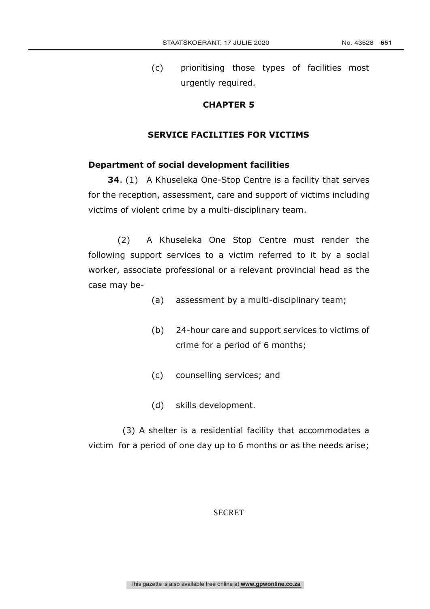(c) prioritising those types of facilities most urgently required.

# **CHAPTER 5**

# **SERVICE FACILITIES FOR VICTIMS**

### **Department of social development facilities**

**34.** (1) A Khuseleka One-Stop Centre is a facility that serves for the reception, assessment, care and support of victims including victims of violent crime by a multi-disciplinary team.

(2) A Khuseleka One Stop Centre must render the following support services to a victim referred to it by a social worker, associate professional or a relevant provincial head as the case may be-

- (a) assessment by a multi-disciplinary team;
- (b) 24-hour care and support services to victims of crime for a period of 6 months;
- (c) counselling services; and
- (d) skills development.

(3) A shelter is a residential facility that accommodates a victim for a period of one day up to 6 months or as the needs arise;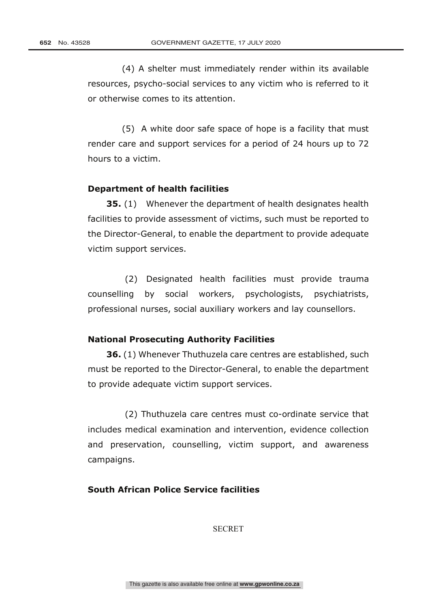(4) A shelter must immediately render within its available resources, psycho-social services to any victim who is referred to it or otherwise comes to its attention.

(5) A white door safe space of hope is a facility that must render care and support services for a period of 24 hours up to 72 hours to a victim.

### **Department of health facilities**

**35.** (1) Whenever the department of health designates health facilities to provide assessment of victims, such must be reported to the Director-General, to enable the department to provide adequate victim support services.

(2) Designated health facilities must provide trauma counselling by social workers, psychologists, psychiatrists, professional nurses, social auxiliary workers and lay counsellors.

### **National Prosecuting Authority Facilities**

**36.** (1) Whenever Thuthuzela care centres are established, such must be reported to the Director-General, to enable the department to provide adequate victim support services.

(2) Thuthuzela care centres must co-ordinate service that includes medical examination and intervention, evidence collection and preservation, counselling, victim support, and awareness campaigns.

# **South African Police Service facilities**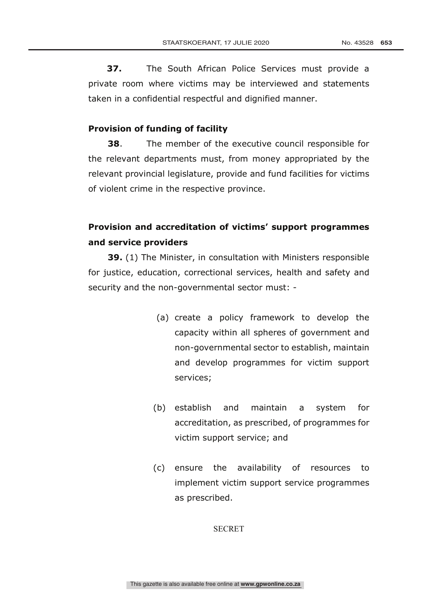**37.** The South African Police Services must provide a private room where victims may be interviewed and statements taken in a confidential respectful and dignified manner.

### **Provision of funding of facility**

**38**. The member of the executive council responsible for the relevant departments must, from money appropriated by the relevant provincial legislature, provide and fund facilities for victims of violent crime in the respective province.

# **Provision and accreditation of victims' support programmes and service providers**

**39.** (1) The Minister, in consultation with Ministers responsible for justice, education, correctional services, health and safety and security and the non-governmental sector must: -

- (a) create a policy framework to develop the capacity within all spheres of government and non-governmental sector to establish, maintain and develop programmes for victim support services;
- (b) establish and maintain a system for accreditation, as prescribed, of programmes for victim support service; and
- (c) ensure the availability of resources to implement victim support service programmes as prescribed.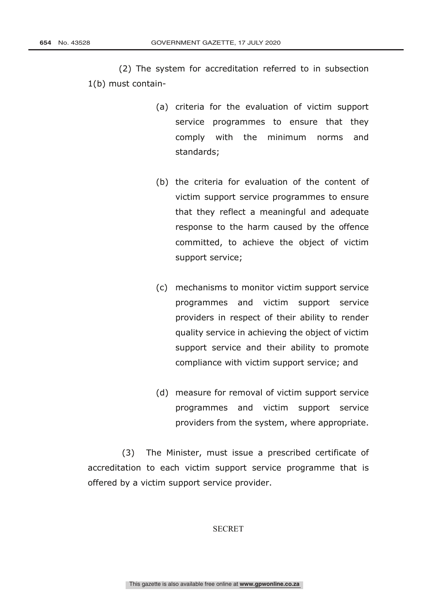(2) The system for accreditation referred to in subsection 1(b) must contain-

- (a) criteria for the evaluation of victim support service programmes to ensure that they comply with the minimum norms and standards;
- (b) the criteria for evaluation of the content of victim support service programmes to ensure that they reflect a meaningful and adequate response to the harm caused by the offence committed, to achieve the object of victim support service;
- (c) mechanisms to monitor victim support service programmes and victim support service providers in respect of their ability to render quality service in achieving the object of victim support service and their ability to promote compliance with victim support service; and
- (d) measure for removal of victim support service programmes and victim support service providers from the system, where appropriate.

(3) The Minister, must issue a prescribed certificate of accreditation to each victim support service programme that is offered by a victim support service provider.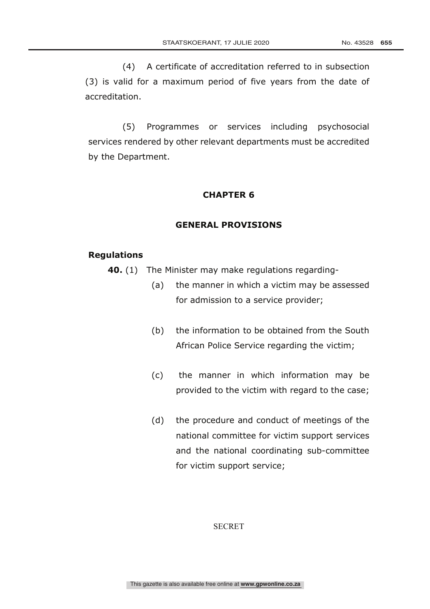(4) A certificate of accreditation referred to in subsection (3) is valid for a maximum period of five years from the date of accreditation.

(5) Programmes or services including psychosocial services rendered by other relevant departments must be accredited by the Department.

### **CHAPTER 6**

#### **GENERAL PROVISIONS**

#### **Regulations**

- **40.** (1) The Minister may make regulations regarding-
	- (a) the manner in which a victim may be assessed for admission to a service provider;
	- (b) the information to be obtained from the South African Police Service regarding the victim;
	- (c) the manner in which information may be provided to the victim with regard to the case;
	- (d) the procedure and conduct of meetings of the national committee for victim support services and the national coordinating sub-committee for victim support service;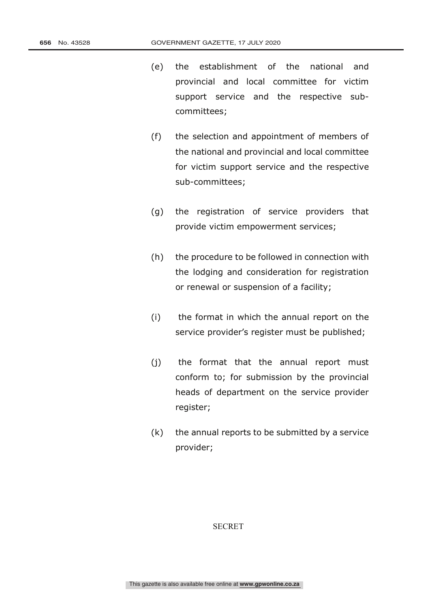- (e) the establishment of the national and provincial and local committee for victim support service and the respective subcommittees;
- (f) the selection and appointment of members of the national and provincial and local committee for victim support service and the respective sub-committees;
- (g) the registration of service providers that provide victim empowerment services;
- (h) the procedure to be followed in connection with the lodging and consideration for registration or renewal or suspension of a facility;
- (i) the format in which the annual report on the service provider's register must be published;
- (j) the format that the annual report must conform to; for submission by the provincial heads of department on the service provider register;
- (k) the annual reports to be submitted by a service provider;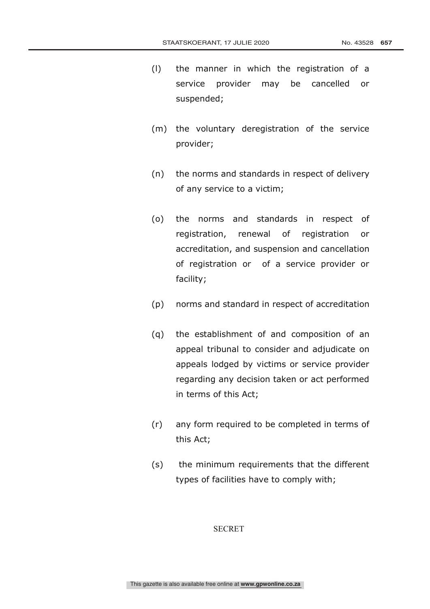- (l) the manner in which the registration of a service provider may be cancelled or suspended;
- (m) the voluntary deregistration of the service provider;
- (n) the norms and standards in respect of delivery of any service to a victim;
- (o) the norms and standards in respect of registration, renewal of registration or accreditation, and suspension and cancellation of registration or of a service provider or facility;
- (p) norms and standard in respect of accreditation
- (q) the establishment of and composition of an appeal tribunal to consider and adjudicate on appeals lodged by victims or service provider regarding any decision taken or act performed in terms of this Act;
- (r) any form required to be completed in terms of this Act;
- (s) the minimum requirements that the different types of facilities have to comply with;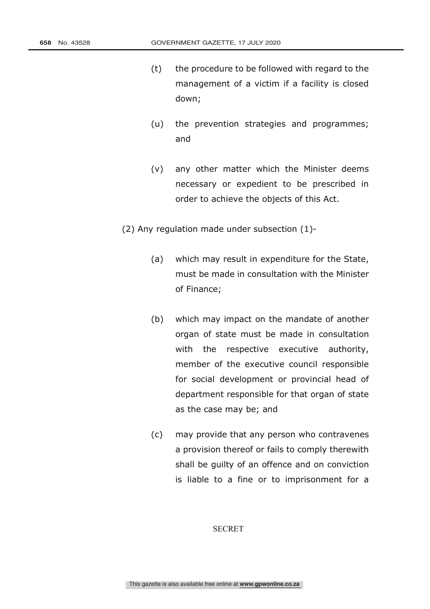- (t) the procedure to be followed with regard to the management of a victim if a facility is closed down;
- (u) the prevention strategies and programmes; and
- (v) any other matter which the Minister deems necessary or expedient to be prescribed in order to achieve the objects of this Act.
- (2) Any regulation made under subsection (1)-
	- (a) which may result in expenditure for the State, must be made in consultation with the Minister of Finance;
	- (b) which may impact on the mandate of another organ of state must be made in consultation with the respective executive authority, member of the executive council responsible for social development or provincial head of department responsible for that organ of state as the case may be; and
	- (c) may provide that any person who contravenes a provision thereof or fails to comply therewith shall be guilty of an offence and on conviction is liable to a fine or to imprisonment for a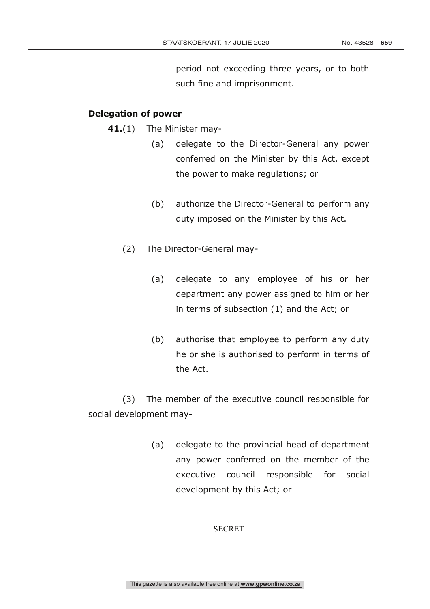period not exceeding three years, or to both such fine and imprisonment.

# **Delegation of power**

**41.**(1) The Minister may-

- (a) delegate to the Director-General any power conferred on the Minister by this Act, except the power to make regulations; or
- (b) authorize the Director-General to perform any duty imposed on the Minister by this Act.
- (2) The Director-General may-
	- (a) delegate to any employee of his or her department any power assigned to him or her in terms of subsection (1) and the Act; or
	- (b) authorise that employee to perform any duty he or she is authorised to perform in terms of the Act.

(3) The member of the executive council responsible for social development may-

> (a) delegate to the provincial head of department any power conferred on the member of the executive council responsible for social development by this Act; or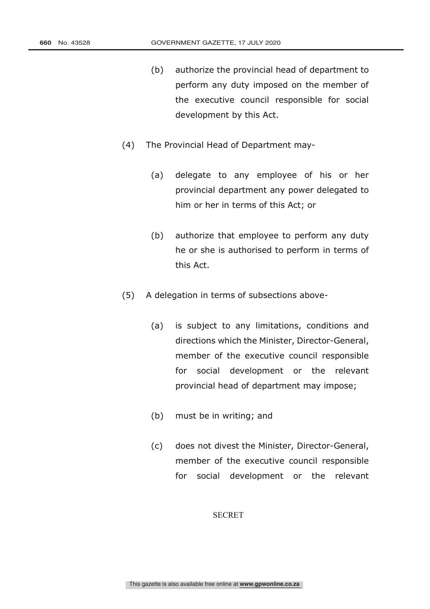- (b) authorize the provincial head of department to perform any duty imposed on the member of the executive council responsible for social development by this Act.
- (4) The Provincial Head of Department may-
	- (a) delegate to any employee of his or her provincial department any power delegated to him or her in terms of this Act; or
	- (b) authorize that employee to perform any duty he or she is authorised to perform in terms of this Act.
- (5) A delegation in terms of subsections above-
	- (a) is subject to any limitations, conditions and directions which the Minister, Director-General, member of the executive council responsible for social development or the relevant provincial head of department may impose;
	- (b) must be in writing; and
	- (c) does not divest the Minister, Director-General, member of the executive council responsible for social development or the relevant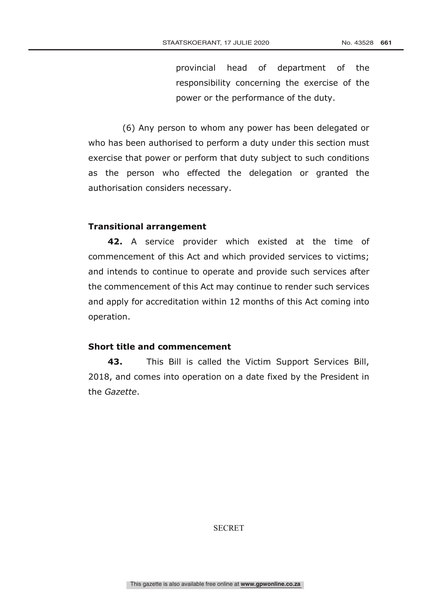provincial head of department of the responsibility concerning the exercise of the power or the performance of the duty.

(6) Any person to whom any power has been delegated or who has been authorised to perform a duty under this section must exercise that power or perform that duty subject to such conditions as the person who effected the delegation or granted the authorisation considers necessary.

### **Transitional arrangement**

**42.** A service provider which existed at the time of commencement of this Act and which provided services to victims; and intends to continue to operate and provide such services after the commencement of this Act may continue to render such services and apply for accreditation within 12 months of this Act coming into operation.

# **Short title and commencement**

**43.** This Bill is called the Victim Support Services Bill, 2018, and comes into operation on a date fixed by the President in the *Gazette*.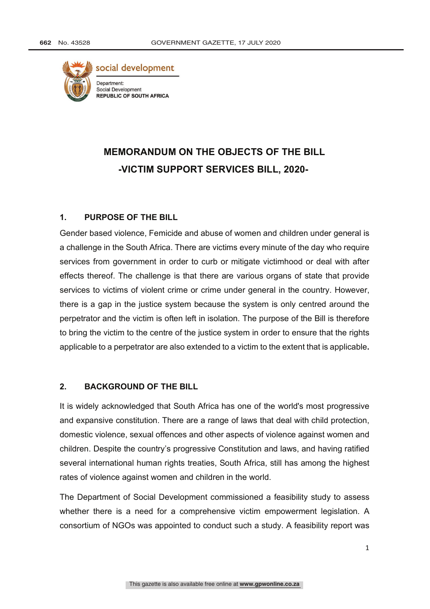

# **MEMORANDUM ON THE OBJECTS OF THE BILL -VICTIM SUPPORT SERVICES BILL, 2020-**

## **1. PURPOSE OF THE BILL**

Gender based violence, Femicide and abuse of women and children under general is a challenge in the South Africa. There are victims every minute of the day who require services from government in order to curb or mitigate victimhood or deal with after effects thereof. The challenge is that there are various organs of state that provide services to victims of violent crime or crime under general in the country. However, there is a gap in the justice system because the system is only centred around the perpetrator and the victim is often left in isolation. The purpose of the Bill is therefore to bring the victim to the centre of the justice system in order to ensure that the rights applicable to a perpetrator are also extended to a victim to the extent that is applicable**.** 

### **2. BACKGROUND OF THE BILL**

It is widely acknowledged that South Africa has one of the world's most progressive and expansive constitution. There are a range of laws that deal with child protection, domestic violence, sexual offences and other aspects of violence against women and children. Despite the country's progressive Constitution and laws, and having ratified several international human rights treaties, South Africa, still has among the highest rates of violence against women and children in the world.

The Department of Social Development commissioned a feasibility study to assess whether there is a need for a comprehensive victim empowerment legislation. A consortium of NGOs was appointed to conduct such a study. A feasibility report was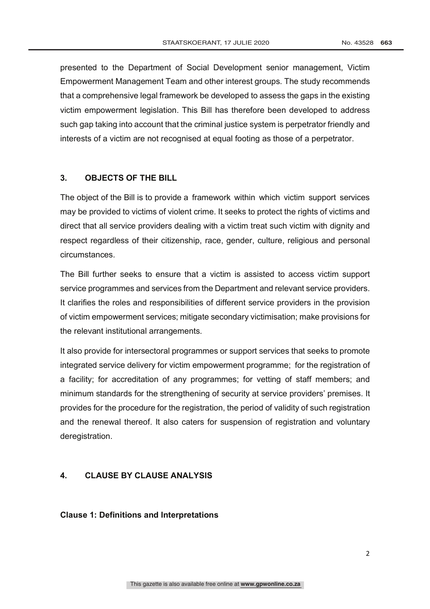presented to the Department of Social Development senior management, Victim Empowerment Management Team and other interest groups. The study recommends that a comprehensive legal framework be developed to assess the gaps in the existing victim empowerment legislation. This Bill has therefore been developed to address such gap taking into account that the criminal justice system is perpetrator friendly and interests of a victim are not recognised at equal footing as those of a perpetrator.

# **3. OBJECTS OF THE BILL**

The object of the Bill is to provide a framework within which victim support services may be provided to victims of violent crime. It seeks to protect the rights of victims and direct that all service providers dealing with a victim treat such victim with dignity and respect regardless of their citizenship, race, gender, culture, religious and personal circumstances.

The Bill further seeks to ensure that a victim is assisted to access victim support service programmes and services from the Department and relevant service providers. It clarifies the roles and responsibilities of different service providers in the provision of victim empowerment services; mitigate secondary victimisation; make provisions for the relevant institutional arrangements.

It also provide for intersectoral programmes or support services that seeks to promote integrated service delivery for victim empowerment programme; for the registration of a facility; for accreditation of any programmes; for vetting of staff members; and minimum standards for the strengthening of security at service providers' premises. It provides for the procedure for the registration, the period of validity of such registration and the renewal thereof. It also caters for suspension of registration and voluntary deregistration.

# **4. CLAUSE BY CLAUSE ANALYSIS**

### **Clause 1: Definitions and Interpretations**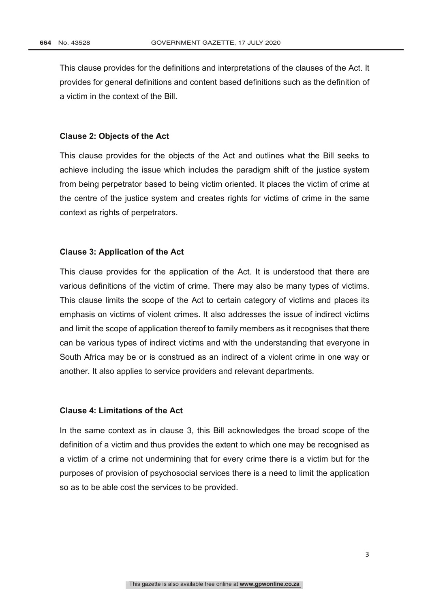This clause provides for the definitions and interpretations of the clauses of the Act. It provides for general definitions and content based definitions such as the definition of a victim in the context of the Bill.

#### **Clause 2: Objects of the Act**

This clause provides for the objects of the Act and outlines what the Bill seeks to achieve including the issue which includes the paradigm shift of the justice system from being perpetrator based to being victim oriented. It places the victim of crime at the centre of the justice system and creates rights for victims of crime in the same context as rights of perpetrators.

### **Clause 3: Application of the Act**

This clause provides for the application of the Act. It is understood that there are various definitions of the victim of crime. There may also be many types of victims. This clause limits the scope of the Act to certain category of victims and places its emphasis on victims of violent crimes. It also addresses the issue of indirect victims and limit the scope of application thereof to family members as it recognises that there can be various types of indirect victims and with the understanding that everyone in South Africa may be or is construed as an indirect of a violent crime in one way or another. It also applies to service providers and relevant departments.

### **Clause 4: Limitations of the Act**

In the same context as in clause 3, this Bill acknowledges the broad scope of the definition of a victim and thus provides the extent to which one may be recognised as a victim of a crime not undermining that for every crime there is a victim but for the purposes of provision of psychosocial services there is a need to limit the application so as to be able cost the services to be provided.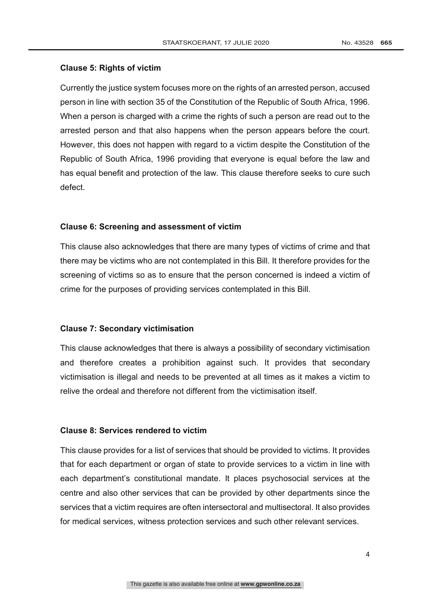### **Clause 5: Rights of victim**

Currently the justice system focuses more on the rights of an arrested person, accused person in line with section 35 of the Constitution of the Republic of South Africa, 1996. When a person is charged with a crime the rights of such a person are read out to the arrested person and that also happens when the person appears before the court. However, this does not happen with regard to a victim despite the Constitution of the Republic of South Africa, 1996 providing that everyone is equal before the law and has equal benefit and protection of the law. This clause therefore seeks to cure such defect.

### **Clause 6: Screening and assessment of victim**

This clause also acknowledges that there are many types of victims of crime and that there may be victims who are not contemplated in this Bill. It therefore provides for the screening of victims so as to ensure that the person concerned is indeed a victim of crime for the purposes of providing services contemplated in this Bill.

### **Clause 7: Secondary victimisation**

This clause acknowledges that there is always a possibility of secondary victimisation and therefore creates a prohibition against such. It provides that secondary victimisation is illegal and needs to be prevented at all times as it makes a victim to relive the ordeal and therefore not different from the victimisation itself.

### **Clause 8: Services rendered to victim**

This clause provides for a list of services that should be provided to victims. It provides that for each department or organ of state to provide services to a victim in line with each department's constitutional mandate. It places psychosocial services at the centre and also other services that can be provided by other departments since the services that a victim requires are often intersectoral and multisectoral. It also provides for medical services, witness protection services and such other relevant services.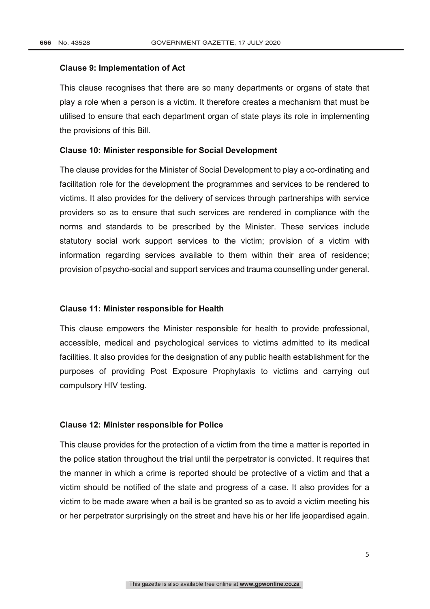#### **Clause 9: Implementation of Act**

This clause recognises that there are so many departments or organs of state that play a role when a person is a victim. It therefore creates a mechanism that must be utilised to ensure that each department organ of state plays its role in implementing the provisions of this Bill.

#### **Clause 10: Minister responsible for Social Development**

The clause provides for the Minister of Social Development to play a co-ordinating and facilitation role for the development the programmes and services to be rendered to victims. It also provides for the delivery of services through partnerships with service providers so as to ensure that such services are rendered in compliance with the norms and standards to be prescribed by the Minister. These services include statutory social work support services to the victim; provision of a victim with information regarding services available to them within their area of residence; provision of psycho-social and support services and trauma counselling under general.

#### **Clause 11: Minister responsible for Health**

This clause empowers the Minister responsible for health to provide professional, accessible, medical and psychological services to victims admitted to its medical facilities. It also provides for the designation of any public health establishment for the purposes of providing Post Exposure Prophylaxis to victims and carrying out compulsory HIV testing.

#### **Clause 12: Minister responsible for Police**

This clause provides for the protection of a victim from the time a matter is reported in the police station throughout the trial until the perpetrator is convicted. It requires that the manner in which a crime is reported should be protective of a victim and that a victim should be notified of the state and progress of a case. It also provides for a victim to be made aware when a bail is be granted so as to avoid a victim meeting his or her perpetrator surprisingly on the street and have his or her life jeopardised again.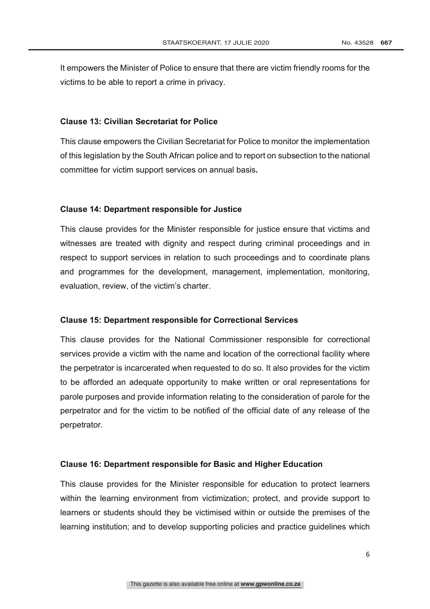It empowers the Minister of Police to ensure that there are victim friendly rooms for the victims to be able to report a crime in privacy.

#### **Clause 13: Civilian Secretariat for Police**

This clause empowers the Civilian Secretariat for Police to monitor the implementation of this legislation by the South African police and to report on subsection to the national committee for victim support services on annual basis**.**

#### **Clause 14: Department responsible for Justice**

This clause provides for the Minister responsible for justice ensure that victims and witnesses are treated with dignity and respect during criminal proceedings and in respect to support services in relation to such proceedings and to coordinate plans and programmes for the development, management, implementation, monitoring, evaluation, review, of the victim's charter.

### **Clause 15: Department responsible for Correctional Services**

This clause provides for the National Commissioner responsible for correctional services provide a victim with the name and location of the correctional facility where the perpetrator is incarcerated when requested to do so. It also provides for the victim to be afforded an adequate opportunity to make written or oral representations for parole purposes and provide information relating to the consideration of parole for the perpetrator and for the victim to be notified of the official date of any release of the perpetrator.

#### **Clause 16: Department responsible for Basic and Higher Education**

This clause provides for the Minister responsible for education to protect learners within the learning environment from victimization; protect, and provide support to learners or students should they be victimised within or outside the premises of the learning institution; and to develop supporting policies and practice guidelines which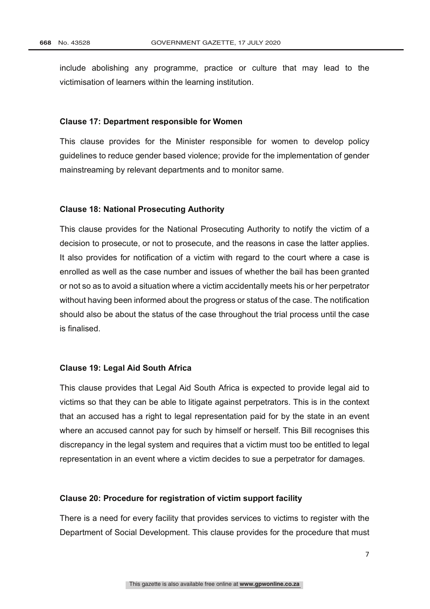include abolishing any programme, practice or culture that may lead to the victimisation of learners within the learning institution.

#### **Clause 17: Department responsible for Women**

This clause provides for the Minister responsible for women to develop policy guidelines to reduce gender based violence; provide for the implementation of gender mainstreaming by relevant departments and to monitor same.

#### **Clause 18: National Prosecuting Authority**

This clause provides for the National Prosecuting Authority to notify the victim of a decision to prosecute, or not to prosecute, and the reasons in case the latter applies. It also provides for notification of a victim with regard to the court where a case is enrolled as well as the case number and issues of whether the bail has been granted or not so as to avoid a situation where a victim accidentally meets his or her perpetrator without having been informed about the progress or status of the case. The notification should also be about the status of the case throughout the trial process until the case is finalised.

### **Clause 19: Legal Aid South Africa**

This clause provides that Legal Aid South Africa is expected to provide legal aid to victims so that they can be able to litigate against perpetrators. This is in the context that an accused has a right to legal representation paid for by the state in an event where an accused cannot pay for such by himself or herself. This Bill recognises this discrepancy in the legal system and requires that a victim must too be entitled to legal representation in an event where a victim decides to sue a perpetrator for damages.

#### **Clause 20: Procedure for registration of victim support facility**

There is a need for every facility that provides services to victims to register with the Department of Social Development. This clause provides for the procedure that must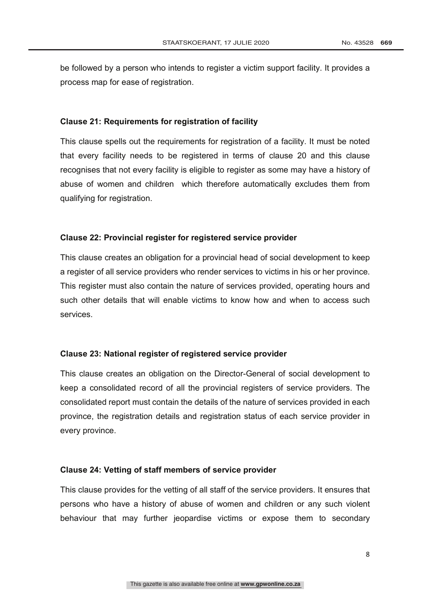be followed by a person who intends to register a victim support facility. It provides a process map for ease of registration.

#### **Clause 21: Requirements for registration of facility**

This clause spells out the requirements for registration of a facility. It must be noted that every facility needs to be registered in terms of clause 20 and this clause recognises that not every facility is eligible to register as some may have a history of abuse of women and children which therefore automatically excludes them from qualifying for registration.

#### **Clause 22: Provincial register for registered service provider**

This clause creates an obligation for a provincial head of social development to keep a register of all service providers who render services to victims in his or her province. This register must also contain the nature of services provided, operating hours and such other details that will enable victims to know how and when to access such services.

### **Clause 23: National register of registered service provider**

This clause creates an obligation on the Director-General of social development to keep a consolidated record of all the provincial registers of service providers. The consolidated report must contain the details of the nature of services provided in each province, the registration details and registration status of each service provider in every province.

#### **Clause 24: Vetting of staff members of service provider**

This clause provides for the vetting of all staff of the service providers. It ensures that persons who have a history of abuse of women and children or any such violent behaviour that may further jeopardise victims or expose them to secondary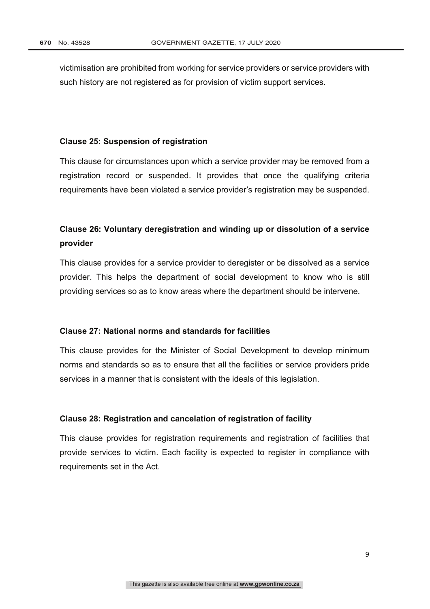victimisation are prohibited from working for service providers or service providers with such history are not registered as for provision of victim support services.

## **Clause 25: Suspension of registration**

This clause for circumstances upon which a service provider may be removed from a registration record or suspended. It provides that once the qualifying criteria requirements have been violated a service provider's registration may be suspended.

# **Clause 26: Voluntary deregistration and winding up or dissolution of a service provider**

This clause provides for a service provider to deregister or be dissolved as a service provider. This helps the department of social development to know who is still providing services so as to know areas where the department should be intervene.

#### **Clause 27: National norms and standards for facilities**

This clause provides for the Minister of Social Development to develop minimum norms and standards so as to ensure that all the facilities or service providers pride services in a manner that is consistent with the ideals of this legislation.

### **Clause 28: Registration and cancelation of registration of facility**

This clause provides for registration requirements and registration of facilities that provide services to victim. Each facility is expected to register in compliance with requirements set in the Act.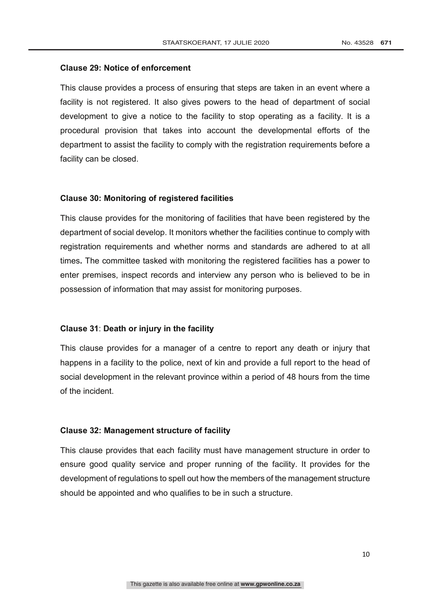### **Clause 29: Notice of enforcement**

This clause provides a process of ensuring that steps are taken in an event where a facility is not registered. It also gives powers to the head of department of social development to give a notice to the facility to stop operating as a facility. It is a procedural provision that takes into account the developmental efforts of the department to assist the facility to comply with the registration requirements before a facility can be closed.

#### **Clause 30: Monitoring of registered facilities**

This clause provides for the monitoring of facilities that have been registered by the department of social develop. It monitors whether the facilities continue to comply with registration requirements and whether norms and standards are adhered to at all times**.** The committee tasked with monitoring the registered facilities has a power to enter premises, inspect records and interview any person who is believed to be in possession of information that may assist for monitoring purposes.

### **Clause 31**: **Death or injury in the facility**

This clause provides for a manager of a centre to report any death or injury that happens in a facility to the police, next of kin and provide a full report to the head of social development in the relevant province within a period of 48 hours from the time of the incident.

### **Clause 32: Management structure of facility**

This clause provides that each facility must have management structure in order to ensure good quality service and proper running of the facility. It provides for the development of regulations to spell out how the members of the management structure should be appointed and who qualifies to be in such a structure.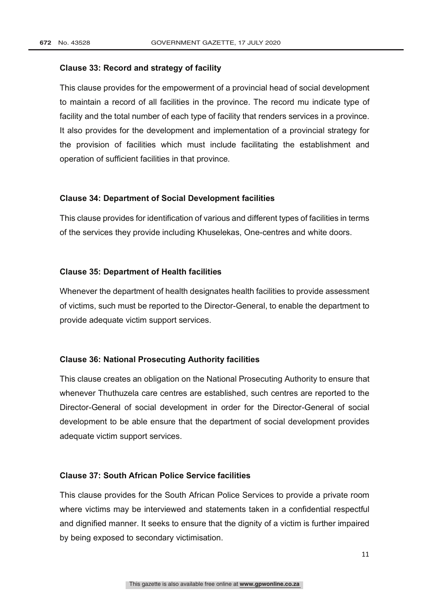### **Clause 33: Record and strategy of facility**

This clause provides for the empowerment of a provincial head of social development to maintain a record of all facilities in the province. The record mu indicate type of facility and the total number of each type of facility that renders services in a province. It also provides for the development and implementation of a provincial strategy for the provision of facilities which must include facilitating the establishment and operation of sufficient facilities in that province.

### **Clause 34: Department of Social Development facilities**

This clause provides for identification of various and different types of facilities in terms of the services they provide including Khuselekas, One-centres and white doors.

### **Clause 35: Department of Health facilities**

Whenever the department of health designates health facilities to provide assessment of victims, such must be reported to the Director-General, to enable the department to provide adequate victim support services.

### **Clause 36: National Prosecuting Authority facilities**

This clause creates an obligation on the National Prosecuting Authority to ensure that whenever Thuthuzela care centres are established, such centres are reported to the Director-General of social development in order for the Director-General of social development to be able ensure that the department of social development provides adequate victim support services.

### **Clause 37: South African Police Service facilities**

This clause provides for the South African Police Services to provide a private room where victims may be interviewed and statements taken in a confidential respectful and dignified manner. It seeks to ensure that the dignity of a victim is further impaired by being exposed to secondary victimisation.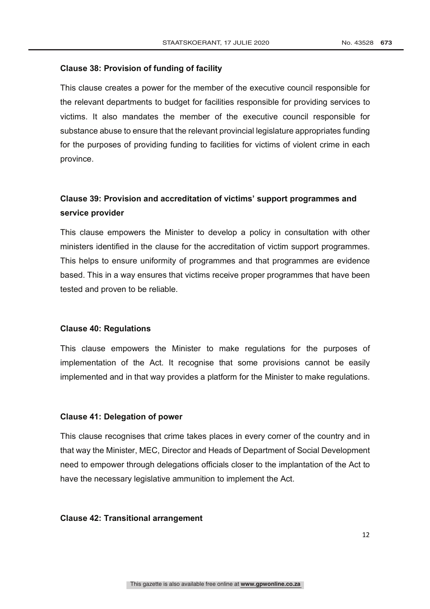### **Clause 38: Provision of funding of facility**

This clause creates a power for the member of the executive council responsible for the relevant departments to budget for facilities responsible for providing services to victims. It also mandates the member of the executive council responsible for substance abuse to ensure that the relevant provincial legislature appropriates funding for the purposes of providing funding to facilities for victims of violent crime in each province.

# **Clause 39: Provision and accreditation of victims' support programmes and service provider**

This clause empowers the Minister to develop a policy in consultation with other ministers identified in the clause for the accreditation of victim support programmes. This helps to ensure uniformity of programmes and that programmes are evidence based. This in a way ensures that victims receive proper programmes that have been tested and proven to be reliable.

### **Clause 40: Regulations**

This clause empowers the Minister to make regulations for the purposes of implementation of the Act. It recognise that some provisions cannot be easily implemented and in that way provides a platform for the Minister to make regulations.

### **Clause 41: Delegation of power**

This clause recognises that crime takes places in every corner of the country and in that way the Minister, MEC, Director and Heads of Department of Social Development need to empower through delegations officials closer to the implantation of the Act to have the necessary legislative ammunition to implement the Act.

#### **Clause 42: Transitional arrangement**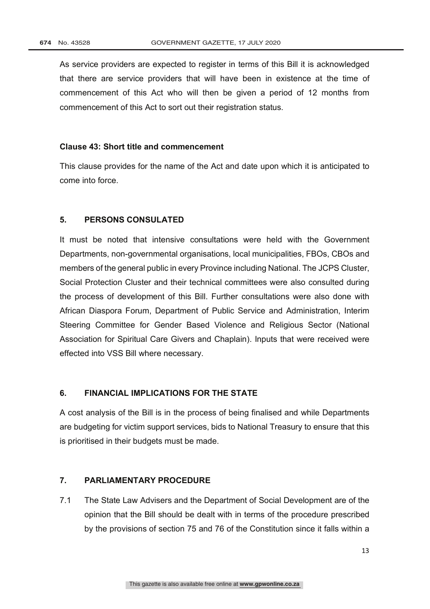As service providers are expected to register in terms of this Bill it is acknowledged that there are service providers that will have been in existence at the time of commencement of this Act who will then be given a period of 12 months from commencement of this Act to sort out their registration status.

### **Clause 43: Short title and commencement**

This clause provides for the name of the Act and date upon which it is anticipated to come into force.

## **5. PERSONS CONSULATED**

It must be noted that intensive consultations were held with the Government Departments, non-governmental organisations, local municipalities, FBOs, CBOs and members of the general public in every Province including National. The JCPS Cluster, Social Protection Cluster and their technical committees were also consulted during the process of development of this Bill. Further consultations were also done with African Diaspora Forum, Department of Public Service and Administration, Interim Steering Committee for Gender Based Violence and Religious Sector (National Association for Spiritual Care Givers and Chaplain). Inputs that were received were effected into VSS Bill where necessary.

# **6. FINANCIAL IMPLICATIONS FOR THE STATE**

A cost analysis of the Bill is in the process of being finalised and while Departments are budgeting for victim support services, bids to National Treasury to ensure that this is prioritised in their budgets must be made.

## **7. PARLIAMENTARY PROCEDURE**

7.1 The State Law Advisers and the Department of Social Development are of the opinion that the Bill should be dealt with in terms of the procedure prescribed by the provisions of section 75 and 76 of the Constitution since it falls within a